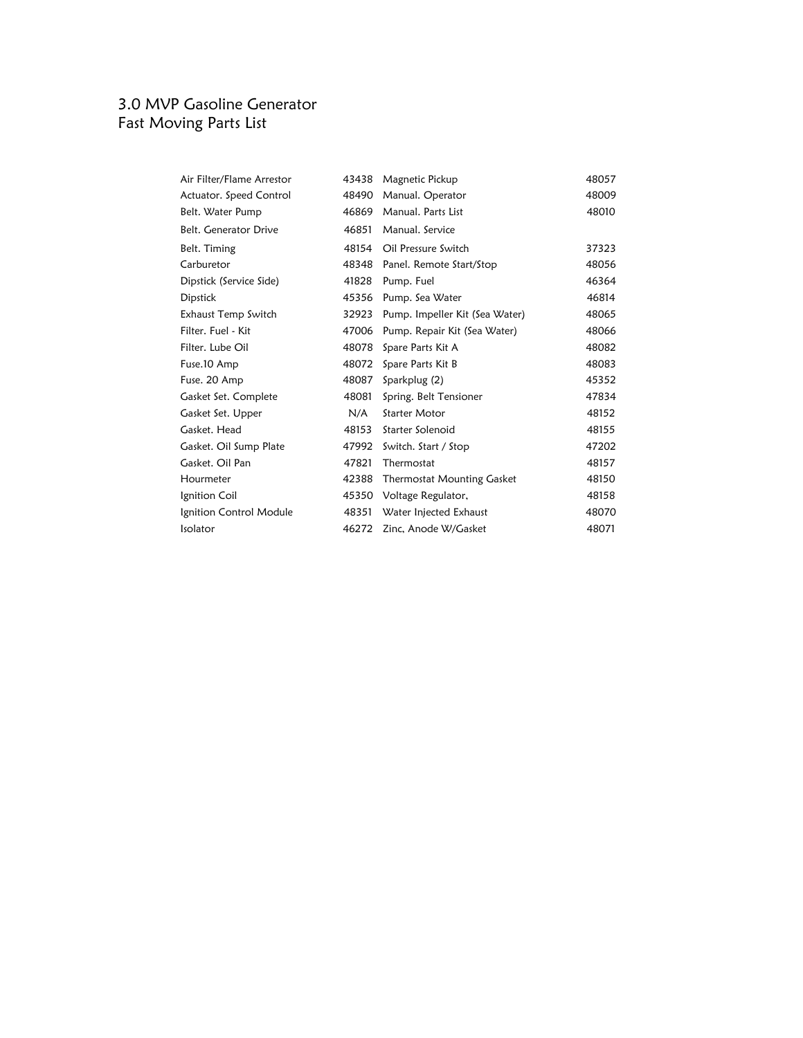## 3.0 MVP Gasoline Generator Fast Moving Parts List

| Air Filter/Flame Arrestor | 43438 | Magnetic Pickup                | 48057 |
|---------------------------|-------|--------------------------------|-------|
| Actuator. Speed Control   | 48490 | Manual. Operator               | 48009 |
| Belt. Water Pump          | 46869 | Manual. Parts List             | 48010 |
| Belt. Generator Drive     | 46851 | Manual. Service                |       |
| Belt. Timing              | 48154 | Oil Pressure Switch            | 37323 |
| Carburetor                | 48348 | Panel. Remote Start/Stop       | 48056 |
| Dipstick (Service Side)   | 41828 | Pump. Fuel                     | 46364 |
| <b>Dipstick</b>           | 45356 | Pump. Sea Water                | 46814 |
| Exhaust Temp Switch       | 32923 | Pump. Impeller Kit (Sea Water) | 48065 |
| Filter. Fuel - Kit        | 47006 | Pump. Repair Kit (Sea Water)   | 48066 |
| Filter. Lube Oil          | 48078 | Spare Parts Kit A              | 48082 |
| Fuse.10 Amp               | 48072 | Spare Parts Kit B              | 48083 |
| Fuse. 20 Amp              | 48087 | Sparkplug (2)                  | 45352 |
| Gasket Set. Complete      | 48081 | Spring. Belt Tensioner         | 47834 |
| Gasket Set. Upper         | N/A   | <b>Starter Motor</b>           | 48152 |
| Gasket. Head              | 48153 | Starter Solenoid               | 48155 |
| Gasket. Oil Sump Plate    | 47992 | Switch. Start / Stop           | 47202 |
| Gasket. Oil Pan           | 47821 | Thermostat                     | 48157 |
| Hourmeter                 | 42388 | Thermostat Mounting Gasket     | 48150 |
| Ignition Coil             | 45350 | Voltage Regulator,             | 48158 |
| Ignition Control Module   | 48351 | Water Injected Exhaust         | 48070 |
| Isolator                  | 46272 | Zinc, Anode W/Gasket           | 48071 |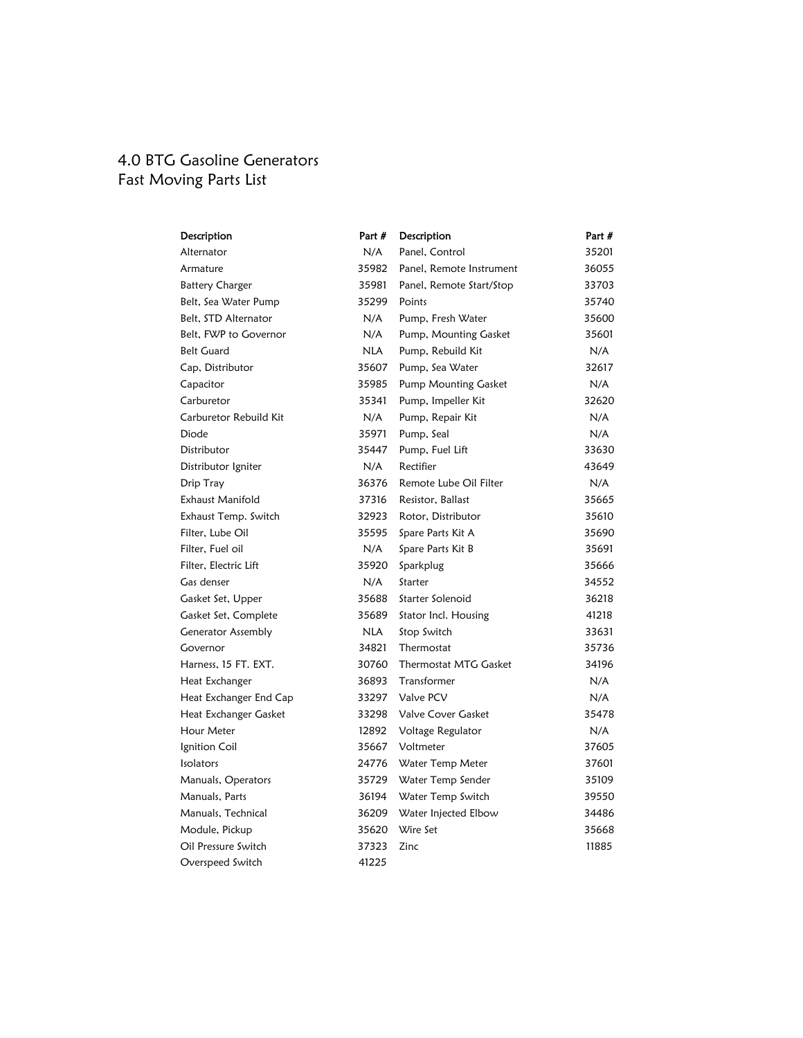## 4.0 BTG Gasoline Generators Fast Moving Parts List

| Description            | Part #     | <b>Description</b>       | Part # |
|------------------------|------------|--------------------------|--------|
| Alternator             | N/A        | Panel, Control           | 35201  |
| Armature               | 35982      | Panel, Remote Instrument | 36055  |
| <b>Battery Charger</b> | 35981      | Panel, Remote Start/Stop | 33703  |
| Belt, Sea Water Pump   | 35299      | Points                   | 35740  |
| Belt. STD Alternator   | N/A        | Pump, Fresh Water        | 35600  |
| Belt, FWP to Governor  | N/A        | Pump, Mounting Gasket    | 35601  |
| <b>Belt Guard</b>      | <b>NLA</b> | Pump, Rebuild Kit        | N/A    |
| Cap, Distributor       | 35607      | Pump, Sea Water          | 32617  |
| Capacitor              | 35985      | Pump Mounting Gasket     | N/A    |
| Carburetor             | 35341      | Pump, Impeller Kit       | 32620  |
| Carburetor Rebuild Kit | N/A        | Pump, Repair Kit         | N/A    |
| Diode                  | 35971      | Pump, Seal               | N/A    |
| Distributor            | 35447      | Pump, Fuel Lift          | 33630  |
| Distributor Igniter    | N/A        | Rectifier                | 43649  |
| Drip Tray              | 36376      | Remote Lube Oil Filter   | N/A    |
| Exhaust Manifold       | 37316      | Resistor, Ballast        | 35665  |
| Exhaust Temp. Switch   | 32923      | Rotor, Distributor       | 35610  |
| Filter, Lube Oil       | 35595      | Spare Parts Kit A        | 35690  |
| Filter, Fuel oil       | N/A        | Spare Parts Kit B        | 35691  |
| Filter, Electric Lift  | 35920      | Sparkplug                | 35666  |
| Gas denser             | N/A        | Starter                  | 34552  |
| Gasket Set, Upper      | 35688      | Starter Solenoid         | 36218  |
| Gasket Set, Complete   | 35689      | Stator Incl. Housing     | 41218  |
| Generator Assembly     | NLA        | Stop Switch              | 33631  |
| Governor               | 34821      | Thermostat               | 35736  |
| Harness, 15 FT. EXT.   | 30760      | Thermostat MTG Gasket    | 34196  |
| Heat Exchanger         | 36893      | Transformer              | N/A    |
| Heat Exchanger End Cap | 33297      | Valve PCV                | N/A    |
| Heat Exchanger Gasket  | 33298      | Valve Cover Gasket       | 35478  |
| Hour Meter             | 12892      | Voltage Regulator        | N/A    |
| Ignition Coil          | 35667      | Voltmeter                | 37605  |
| Isolators              | 24776      | Water Temp Meter         | 37601  |
| Manuals, Operators     | 35729      | Water Temp Sender        | 35109  |
| Manuals, Parts         | 36194      | Water Temp Switch        | 39550  |
| Manuals, Technical     | 36209      | Water Injected Elbow     | 34486  |
| Module, Pickup         | 35620      | Wire Set                 | 35668  |
| Oil Pressure Switch    | 37323      | Zinc                     | 11885  |
| Overspeed Switch       | 41225      |                          |        |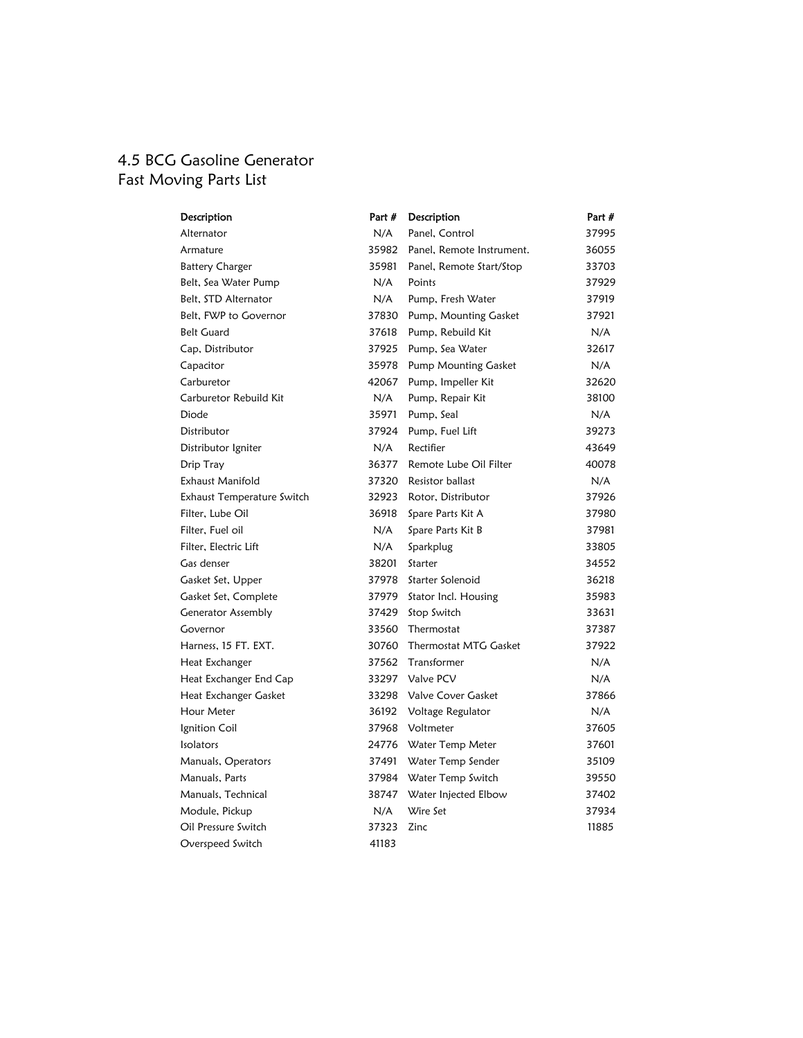## 4.5 BCG Gasoline Generator Fast Moving Parts List

| Description                |       | Part # Description          | Part # |
|----------------------------|-------|-----------------------------|--------|
| Alternator                 | N/A   | Panel, Control              | 37995  |
| Armature                   | 35982 | Panel, Remote Instrument.   | 36055  |
| <b>Battery Charger</b>     | 35981 | Panel, Remote Start/Stop    | 33703  |
| Belt, Sea Water Pump       | N/A   | Points                      | 37929  |
| Belt, STD Alternator       | N/A   | Pump, Fresh Water           | 37919  |
| Belt. FWP to Governor      |       | 37830 Pump, Mounting Gasket | 37921  |
| <b>Belt Guard</b>          | 37618 | Pump, Rebuild Kit           | N/A    |
| Cap, Distributor           |       | 37925 Pump, Sea Water       | 32617  |
| Capacitor                  | 35978 | <b>Pump Mounting Gasket</b> | N/A    |
| Carburetor                 | 42067 | Pump, Impeller Kit          | 32620  |
| Carburetor Rebuild Kit     | N/A   | Pump, Repair Kit            | 38100  |
| Diode                      | 35971 | Pump, Seal                  | N/A    |
| Distributor                | 37924 | Pump, Fuel Lift             | 39273  |
| Distributor Igniter        | N/A   | Rectifier                   | 43649  |
| Drip Tray                  | 36377 | Remote Lube Oil Filter      | 40078  |
| Exhaust Manifold           |       | 37320 Resistor ballast      | N/A    |
| Exhaust Temperature Switch |       | 32923 Rotor, Distributor    | 37926  |
| Filter, Lube Oil           |       | 36918 Spare Parts Kit A     | 37980  |
| Filter, Fuel oil           | N/A   | Spare Parts Kit B           | 37981  |
| Filter, Electric Lift      | N/A   | Sparkplug                   | 33805  |
| Gas denser                 | 38201 | Starter                     | 34552  |
| Gasket Set, Upper          | 37978 | Starter Solenoid            | 36218  |
| Gasket Set, Complete       | 37979 | Stator Incl. Housing        | 35983  |
| Generator Assembly         | 37429 | Stop Switch                 | 33631  |
| Governor                   | 33560 | Thermostat                  | 37387  |
| Harness, 15 FT. EXT.       | 30760 | Thermostat MTG Gasket       | 37922  |
| Heat Exchanger             | 37562 | Transformer                 | N/A    |
| Heat Exchanger End Cap     |       | 33297 Valve PCV             | N/A    |
| Heat Exchanger Gasket      |       | 33298 Valve Cover Gasket    | 37866  |
| Hour Meter                 | 36192 | Voltage Regulator           | N/A    |
| Ignition Coil              |       | 37968 Voltmeter             | 37605  |
| Isolators                  |       | 24776 Water Temp Meter      | 37601  |
| Manuals, Operators         |       | 37491 Water Temp Sender     | 35109  |
| Manuals, Parts             |       | 37984 Water Temp Switch     | 39550  |
| Manuals, Technical         |       | 38747 Water Injected Elbow  | 37402  |
| Module, Pickup             | N/A   | Wire Set                    | 37934  |
| Oil Pressure Switch        | 37323 | Zinc                        | 11885  |
| Overspeed Switch           | 41183 |                             |        |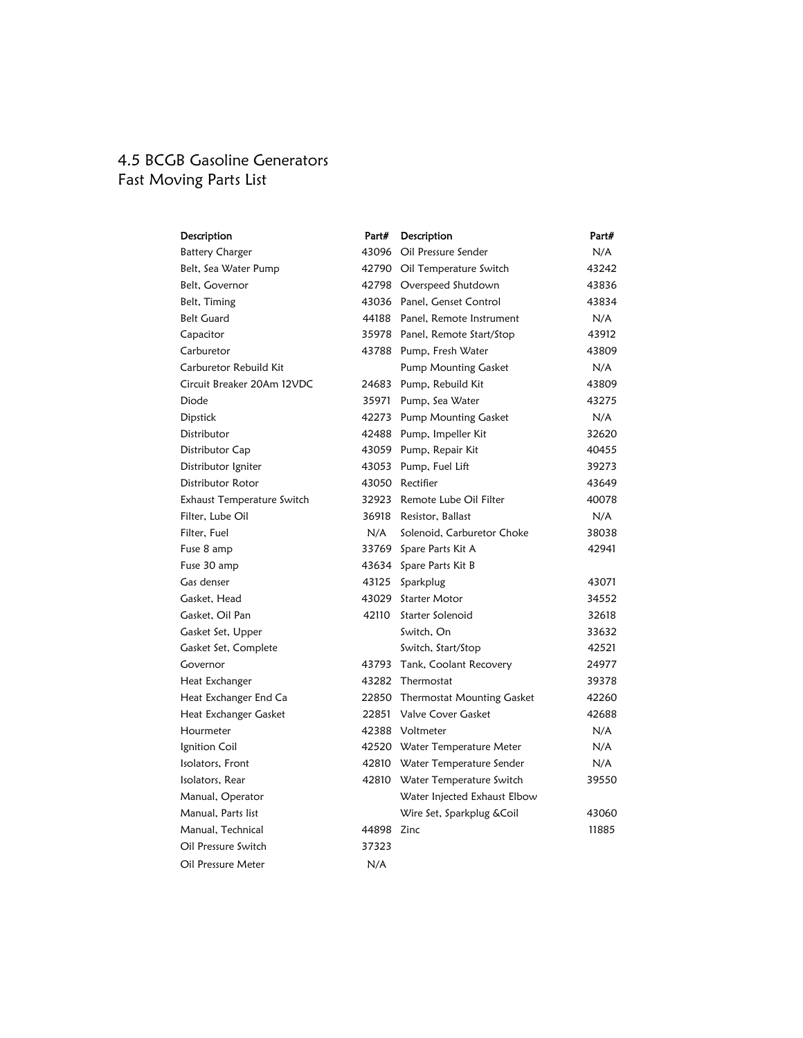#### 4.5 BCGB Gasoline Generators Fast Moving Parts List

| Description                | Part# | Description                      | Part# |
|----------------------------|-------|----------------------------------|-------|
| <b>Battery Charger</b>     |       | 43096 Oil Pressure Sender        | N/A   |
| Belt, Sea Water Pump       |       | 42790 Oil Temperature Switch     | 43242 |
| Belt, Governor             |       | 42798 Overspeed Shutdown         | 43836 |
| Belt, Timing               |       | 43036 Panel, Genset Control      | 43834 |
| <b>Belt Guard</b>          |       | 44188 Panel, Remote Instrument   | N/A   |
| Capacitor                  |       | 35978 Panel, Remote Start/Stop   | 43912 |
| Carburetor                 |       | 43788 Pump, Fresh Water          | 43809 |
| Carburetor Rebuild Kit     |       | Pump Mounting Gasket             | N/A   |
| Circuit Breaker 20Am 12VDC |       | 24683 Pump, Rebuild Kit          | 43809 |
| Diode                      | 35971 | Pump, Sea Water                  | 43275 |
| Dipstick                   |       | 42273 Pump Mounting Gasket       | N/A   |
| Distributor                |       | 42488 Pump, Impeller Kit         | 32620 |
| Distributor Cap            |       | 43059 Pump, Repair Kit           | 40455 |
| Distributor Igniter        |       | 43053 Pump, Fuel Lift            | 39273 |
| Distributor Rotor          |       | 43050 Rectifier                  | 43649 |
| Exhaust Temperature Switch |       | 32923 Remote Lube Oil Filter     | 40078 |
| Filter, Lube Oil           | 36918 | Resistor, Ballast                | N/A   |
| Filter, Fuel               | N/A   | Solenoid, Carburetor Choke       | 38038 |
| Fuse 8 amp                 |       | 33769 Spare Parts Kit A          | 42941 |
| Fuse 30 amp                |       | 43634 Spare Parts Kit B          |       |
| Gas denser                 | 43125 | Sparkplug                        | 43071 |
| Gasket, Head               |       | 43029 Starter Motor              | 34552 |
| Gasket, Oil Pan            | 42110 | Starter Solenoid                 | 32618 |
| Gasket Set, Upper          |       | Switch, On                       | 33632 |
| Gasket Set, Complete       |       | Switch, Start/Stop               | 42521 |
| Governor                   |       | 43793 Tank, Coolant Recovery     | 24977 |
| Heat Exchanger             |       | 43282 Thermostat                 | 39378 |
| Heat Exchanger End Ca      |       | 22850 Thermostat Mounting Gasket | 42260 |
| Heat Exchanger Gasket      | 22851 | Valve Cover Gasket               | 42688 |
| Hourmeter                  |       | 42388 Voltmeter                  | N/A   |
| Ignition Coil              |       | 42520 Water Temperature Meter    | N/A   |
| Isolators, Front           |       | 42810 Water Temperature Sender   | N/A   |
| Isolators, Rear            | 42810 | Water Temperature Switch         | 39550 |
| Manual, Operator           |       | Water Injected Exhaust Elbow     |       |
| Manual, Parts list         |       | Wire Set, Sparkplug & Coil       | 43060 |
| Manual, Technical          | 44898 | Zinc                             | 11885 |
| Oil Pressure Switch        | 37323 |                                  |       |
| Oil Pressure Meter         | N/A   |                                  |       |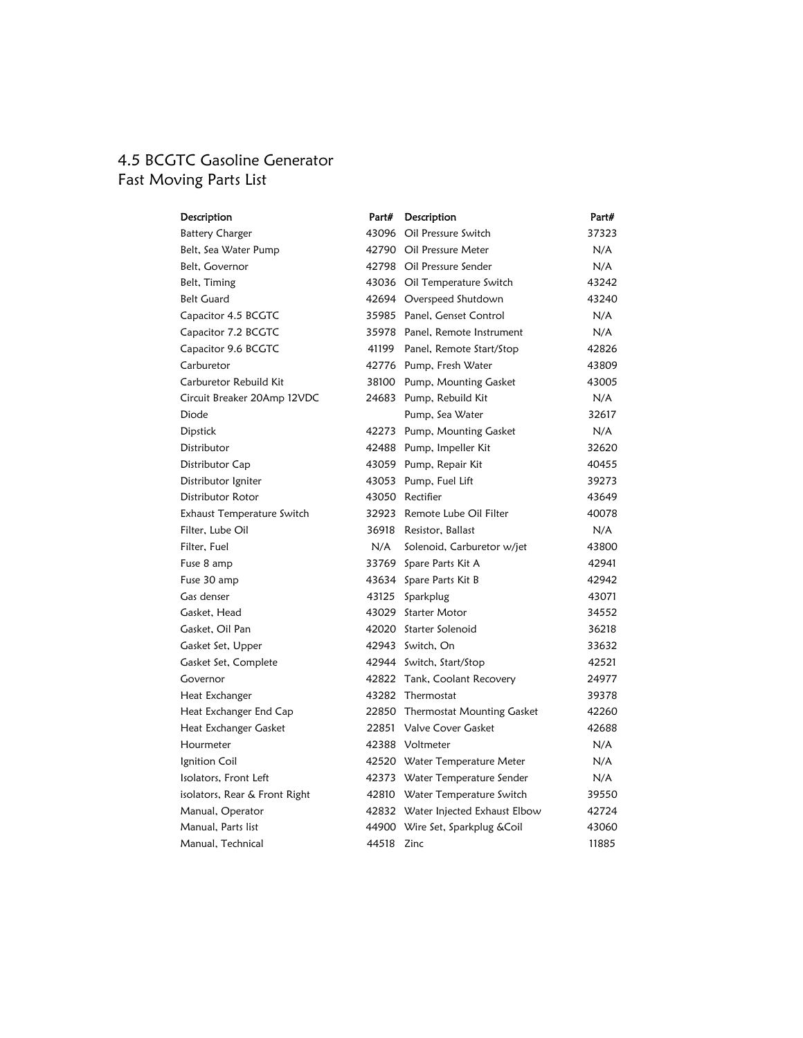# 4.5 BCGTC Gasoline Generator Fast Moving Parts List

| Description                   | Part# | Description                        | Part# |
|-------------------------------|-------|------------------------------------|-------|
| <b>Battery Charger</b>        |       | 43096 Oil Pressure Switch          | 37323 |
| Belt, Sea Water Pump          |       | 42790 Oil Pressure Meter           | N/A   |
| Belt, Governor                |       | 42798 Oil Pressure Sender          | N/A   |
| Belt, Timing                  |       | 43036 Oil Temperature Switch       | 43242 |
| <b>Belt Guard</b>             |       | 42694 Overspeed Shutdown           | 43240 |
| Capacitor 4.5 BCGTC           |       | 35985 Panel, Genset Control        | N/A   |
| Capacitor 7.2 BCGTC           |       | 35978 Panel, Remote Instrument     | N/A   |
| Capacitor 9.6 BCGTC           |       | 41199 Panel, Remote Start/Stop     | 42826 |
| Carburetor                    |       | 42776 Pump, Fresh Water            | 43809 |
| Carburetor Rebuild Kit        |       | 38100 Pump, Mounting Gasket        | 43005 |
| Circuit Breaker 20Amp 12VDC   |       | 24683 Pump, Rebuild Kit            | N/A   |
| Diode                         |       | Pump, Sea Water                    | 32617 |
| Dipstick                      |       | 42273 Pump, Mounting Gasket        | N/A   |
| Distributor                   |       | 42488 Pump, Impeller Kit           | 32620 |
| Distributor Cap               |       | 43059 Pump, Repair Kit             | 40455 |
| Distributor Igniter           |       | 43053 Pump, Fuel Lift              | 39273 |
| Distributor Rotor             |       | 43050 Rectifier                    | 43649 |
| Exhaust Temperature Switch    |       | 32923 Remote Lube Oil Filter       | 40078 |
| Filter, Lube Oil              |       | 36918 Resistor, Ballast            | N/A   |
| Filter, Fuel                  | N/A   | Solenoid, Carburetor w/jet         | 43800 |
| Fuse 8 amp                    |       | 33769 Spare Parts Kit A            | 42941 |
| Fuse 30 amp                   |       | 43634 Spare Parts Kit B            | 42942 |
| Gas denser                    |       | 43125 Sparkplug                    | 43071 |
| Gasket, Head                  |       | 43029 Starter Motor                | 34552 |
| Gasket, Oil Pan               |       | 42020 Starter Solenoid             | 36218 |
| Gasket Set, Upper             |       | 42943 Switch, On                   | 33632 |
| Gasket Set, Complete          |       | 42944 Switch, Start/Stop           | 42521 |
| Governor                      |       | 42822 Tank, Coolant Recovery       | 24977 |
| Heat Exchanger                |       | 43282 Thermostat                   | 39378 |
| Heat Exchanger End Cap        |       | 22850 Thermostat Mounting Gasket   | 42260 |
| Heat Exchanger Gasket         |       | 22851 Valve Cover Gasket           | 42688 |
| Hourmeter                     |       | 42388 Voltmeter                    | N/A   |
| Ignition Coil                 |       | 42520 Water Temperature Meter      | N/A   |
| Isolators, Front Left         |       | 42373 Water Temperature Sender     | N/A   |
| isolators, Rear & Front Right |       | 42810 Water Temperature Switch     | 39550 |
| Manual, Operator              |       | 42832 Water Injected Exhaust Elbow | 42724 |
| Manual, Parts list            |       | 44900 Wire Set, Sparkplug & Coil   | 43060 |
| Manual, Technical             | 44518 | Zinc                               | 11885 |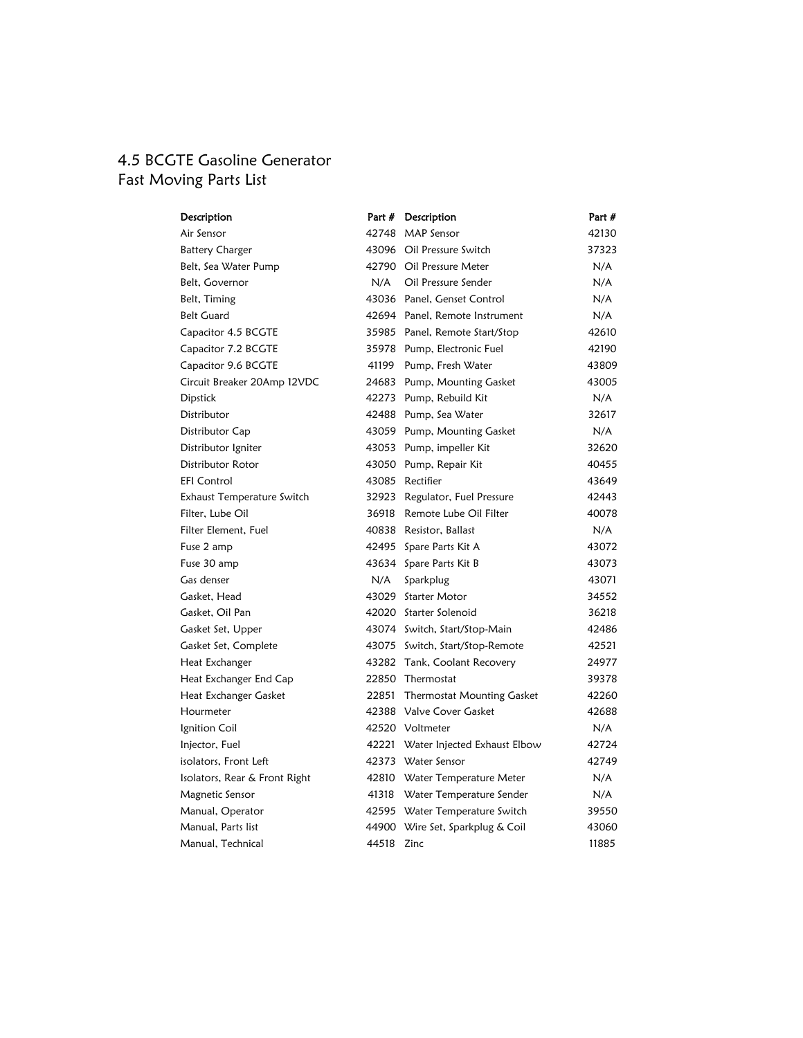## 4.5 BCGTE Gasoline Generator Fast Moving Parts List

| Description                   | Part # | Description                        | Part # |
|-------------------------------|--------|------------------------------------|--------|
| Air Sensor                    |        | 42748 MAP Sensor                   | 42130  |
| <b>Battery Charger</b>        |        | 43096 Oil Pressure Switch          | 37323  |
| Belt, Sea Water Pump          |        | 42790 Oil Pressure Meter           | N/A    |
| Belt, Governor                | N/A    | Oil Pressure Sender                | N/A    |
| Belt, Timing                  |        | 43036 Panel, Genset Control        | N/A    |
| <b>Belt Guard</b>             |        | 42694 Panel, Remote Instrument     | N/A    |
| Capacitor 4.5 BCGTE           |        | 35985 Panel, Remote Start/Stop     | 42610  |
| Capacitor 7.2 BCGTE           |        | 35978 Pump, Electronic Fuel        | 42190  |
| Capacitor 9.6 BCGTE           |        | 41199 Pump, Fresh Water            | 43809  |
| Circuit Breaker 20Amp 12VDC   |        | 24683 Pump, Mounting Gasket        | 43005  |
| Dipstick                      |        | 42273 Pump, Rebuild Kit            | N/A    |
| Distributor                   |        | 42488 Pump, Sea Water              | 32617  |
| Distributor Cap               |        | 43059 Pump, Mounting Gasket        | N/A    |
| Distributor Igniter           |        | 43053 Pump, impeller Kit           | 32620  |
| Distributor Rotor             |        | 43050 Pump, Repair Kit             | 40455  |
| <b>EFI Control</b>            |        | 43085 Rectifier                    | 43649  |
| Exhaust Temperature Switch    |        | 32923 Regulator, Fuel Pressure     | 42443  |
| Filter, Lube Oil              |        | 36918 Remote Lube Oil Filter       | 40078  |
| Filter Element, Fuel          |        | 40838 Resistor, Ballast            | N/A    |
| Fuse 2 amp                    |        | 42495 Spare Parts Kit A            | 43072  |
| Fuse 30 amp                   |        | 43634 Spare Parts Kit B            | 43073  |
| Gas denser                    | N/A    | Sparkplug                          | 43071  |
| Gasket, Head                  |        | 43029 Starter Motor                | 34552  |
| Gasket, Oil Pan               |        | 42020 Starter Solenoid             | 36218  |
| Gasket Set, Upper             |        | 43074 Switch, Start/Stop-Main      | 42486  |
| Gasket Set, Complete          |        | 43075 Switch, Start/Stop-Remote    | 42521  |
| Heat Exchanger                |        | 43282 Tank, Coolant Recovery       | 24977  |
| Heat Exchanger End Cap        |        | 22850 Thermostat                   | 39378  |
| Heat Exchanger Gasket         |        | 22851 Thermostat Mounting Gasket   | 42260  |
| Hourmeter                     |        | 42388 Valve Cover Gasket           | 42688  |
| Ignition Coil                 |        | 42520 Voltmeter                    | N/A    |
| Injector, Fuel                |        | 42221 Water Injected Exhaust Elbow | 42724  |
| isolators, Front Left         |        | 42373 Water Sensor                 | 42749  |
| Isolators, Rear & Front Right |        | 42810 Water Temperature Meter      | N/A    |
| Magnetic Sensor               |        | 41318 Water Temperature Sender     | N/A    |
| Manual, Operator              |        | 42595 Water Temperature Switch     | 39550  |
| Manual, Parts list            |        | 44900 Wire Set, Sparkplug & Coil   | 43060  |
| Manual, Technical             | 44518  | Zinc                               | 11885  |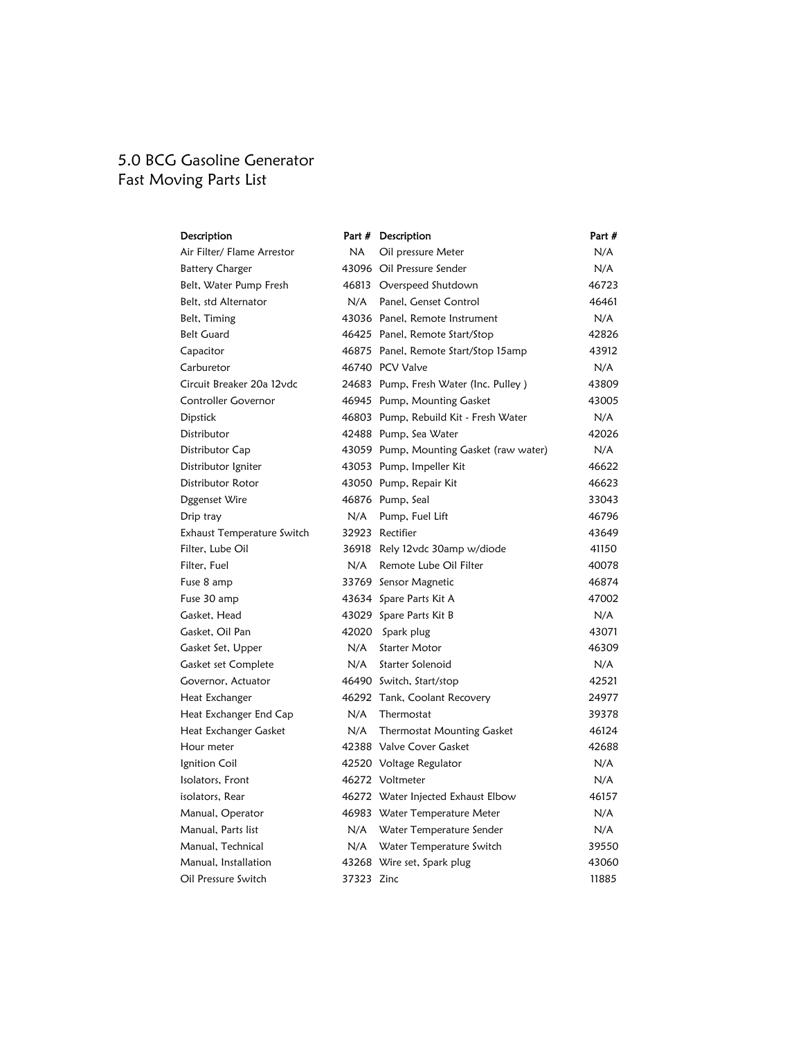## 5.0 BCG Gasoline Generator Fast Moving Parts List

| Description                |            | Part # Description                      | Part # |
|----------------------------|------------|-----------------------------------------|--------|
| Air Filter/ Flame Arrestor | NA L       | Oil pressure Meter                      | N/A    |
| <b>Battery Charger</b>     |            | 43096 Oil Pressure Sender               | N/A    |
| Belt, Water Pump Fresh     |            | 46813 Overspeed Shutdown                | 46723  |
| Belt, std Alternator       |            | N/A Panel, Genset Control               | 46461  |
| Belt, Timing               |            | 43036 Panel, Remote Instrument          | N/A    |
| <b>Belt Guard</b>          |            | 46425 Panel, Remote Start/Stop          | 42826  |
| Capacitor                  |            | 46875 Panel, Remote Start/Stop 15amp    | 43912  |
| Carburetor                 |            | 46740 PCV Valve                         | N/A    |
| Circuit Breaker 20a 12vdc  |            | 24683 Pump, Fresh Water (Inc. Pulley)   | 43809  |
| Controller Governor        |            | 46945 Pump, Mounting Gasket             | 43005  |
| Dipstick                   |            | 46803 Pump, Rebuild Kit - Fresh Water   | N/A    |
| Distributor                |            | 42488 Pump, Sea Water                   | 42026  |
| Distributor Cap            |            | 43059 Pump, Mounting Gasket (raw water) | N/A    |
| Distributor Igniter        |            | 43053 Pump, Impeller Kit                | 46622  |
| Distributor Rotor          |            | 43050 Pump, Repair Kit                  | 46623  |
| Dggenset Wire              |            | 46876 Pump, Seal                        | 33043  |
| Drip tray                  |            | N/A Pump, Fuel Lift                     | 46796  |
| Exhaust Temperature Switch |            | 32923 Rectifier                         | 43649  |
| Filter, Lube Oil           |            | 36918 Rely 12vdc 30amp w/diode          | 41150  |
| Filter, Fuel               | N/A        | Remote Lube Oil Filter                  | 40078  |
| Fuse 8 amp                 |            | 33769 Sensor Magnetic                   | 46874  |
| Fuse 30 amp                |            | 43634 Spare Parts Kit A                 | 47002  |
| Gasket, Head               |            | 43029 Spare Parts Kit B                 | N/A    |
| Gasket, Oil Pan            |            | 42020 Spark plug                        | 43071  |
| Gasket Set, Upper          | N/A        | <b>Starter Motor</b>                    | 46309  |
| Gasket set Complete        | N/A        | Starter Solenoid                        | N/A    |
| Governor, Actuator         |            | 46490 Switch, Start/stop                | 42521  |
| Heat Exchanger             |            | 46292 Tank, Coolant Recovery            | 24977  |
| Heat Exchanger End Cap     | N/A        | Thermostat                              | 39378  |
| Heat Exchanger Gasket      | N/A        | Thermostat Mounting Gasket              | 46124  |
| Hour meter                 |            | 42388 Valve Cover Gasket                | 42688  |
| Ignition Coil              |            | 42520 Voltage Regulator                 | N/A    |
| Isolators, Front           |            | 46272 Voltmeter                         | N/A    |
| isolators, Rear            |            | 46272 Water Injected Exhaust Elbow      | 46157  |
| Manual, Operator           |            | 46983 Water Temperature Meter           | N/A    |
| Manual, Parts list         | N/A        | Water Temperature Sender                | N/A    |
| Manual, Technical          | N/A        | Water Temperature Switch                | 39550  |
| Manual, Installation       |            | 43268 Wire set, Spark plug              | 43060  |
| Oil Pressure Switch        | 37323 Zinc |                                         | 11885  |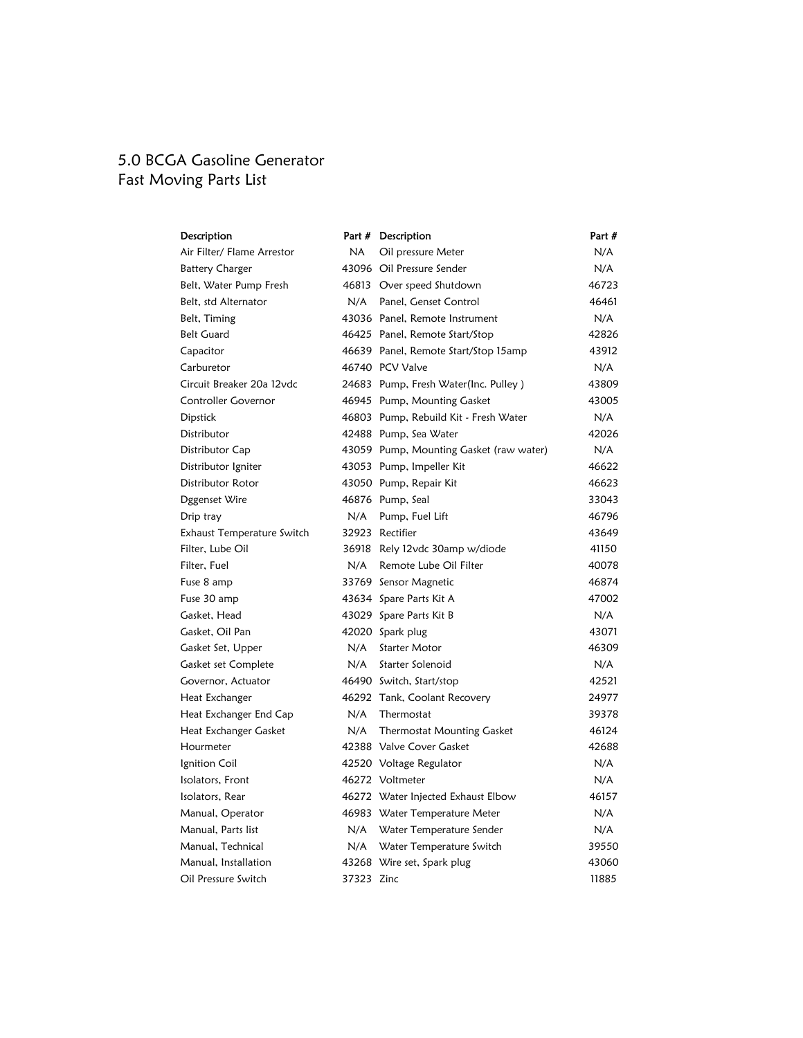## 5.0 BCGA Gasoline Generator Fast Moving Parts List

| Description                |            | Part # Description                      | Part # |
|----------------------------|------------|-----------------------------------------|--------|
| Air Filter/ Flame Arrestor | <b>NA</b>  | Oil pressure Meter                      | N/A    |
| <b>Battery Charger</b>     |            | 43096 Oil Pressure Sender               | N/A    |
| Belt, Water Pump Fresh     |            | 46813 Over speed Shutdown               | 46723  |
| Belt, std Alternator       | N/A        | Panel, Genset Control                   | 46461  |
| Belt, Timing               |            | 43036 Panel, Remote Instrument          | N/A    |
| <b>Belt Guard</b>          |            | 46425 Panel, Remote Start/Stop          | 42826  |
| Capacitor                  |            | 46639 Panel, Remote Start/Stop 15amp    | 43912  |
| Carburetor                 |            | 46740 PCV Valve                         | N/A    |
| Circuit Breaker 20a 12vdc  |            | 24683 Pump, Fresh Water(Inc. Pulley)    | 43809  |
| <b>Controller Governor</b> |            | 46945 Pump, Mounting Gasket             | 43005  |
| <b>Dipstick</b>            |            | 46803 Pump, Rebuild Kit - Fresh Water   | N/A    |
| Distributor                |            | 42488 Pump, Sea Water                   | 42026  |
| Distributor Cap            |            | 43059 Pump, Mounting Gasket (raw water) | N/A    |
| Distributor Igniter        |            | 43053 Pump, Impeller Kit                | 46622  |
| Distributor Rotor          |            | 43050 Pump, Repair Kit                  | 46623  |
| Dggenset Wire              |            | 46876 Pump, Seal                        | 33043  |
| Drip tray                  | N/A        | Pump, Fuel Lift                         | 46796  |
| Exhaust Temperature Switch |            | 32923 Rectifier                         | 43649  |
| Filter, Lube Oil           |            | 36918 Rely 12vdc 30amp w/diode          | 41150  |
| Filter, Fuel               | N/A        | Remote Lube Oil Filter                  | 40078  |
| Fuse 8 amp                 |            | 33769 Sensor Magnetic                   | 46874  |
| Fuse 30 amp                |            | 43634 Spare Parts Kit A                 | 47002  |
| Gasket, Head               |            | 43029 Spare Parts Kit B                 | N/A    |
| Gasket, Oil Pan            |            | 42020 Spark plug                        | 43071  |
| Gasket Set, Upper          | N/A        | Starter Motor                           | 46309  |
| Gasket set Complete        | N/A        | Starter Solenoid                        | N/A    |
| Governor, Actuator         |            | 46490 Switch, Start/stop                | 42521  |
| Heat Exchanger             |            | 46292 Tank, Coolant Recovery            | 24977  |
| Heat Exchanger End Cap     | N/A        | Thermostat                              | 39378  |
| Heat Exchanger Gasket      | N/A        | Thermostat Mounting Gasket              | 46124  |
| Hourmeter                  |            | 42388 Valve Cover Gasket                | 42688  |
| Ignition Coil              |            | 42520 Voltage Regulator                 | N/A    |
| Isolators, Front           |            | 46272 Voltmeter                         | N/A    |
| Isolators, Rear            |            | 46272 Water Injected Exhaust Elbow      | 46157  |
| Manual, Operator           |            | 46983 Water Temperature Meter           | N/A    |
| Manual, Parts list         | N/A        | Water Temperature Sender                | N/A    |
| Manual, Technical          | N/A        | Water Temperature Switch                | 39550  |
| Manual, Installation       |            | 43268 Wire set, Spark plug              | 43060  |
| Oil Pressure Switch        | 37323 Zinc |                                         | 11885  |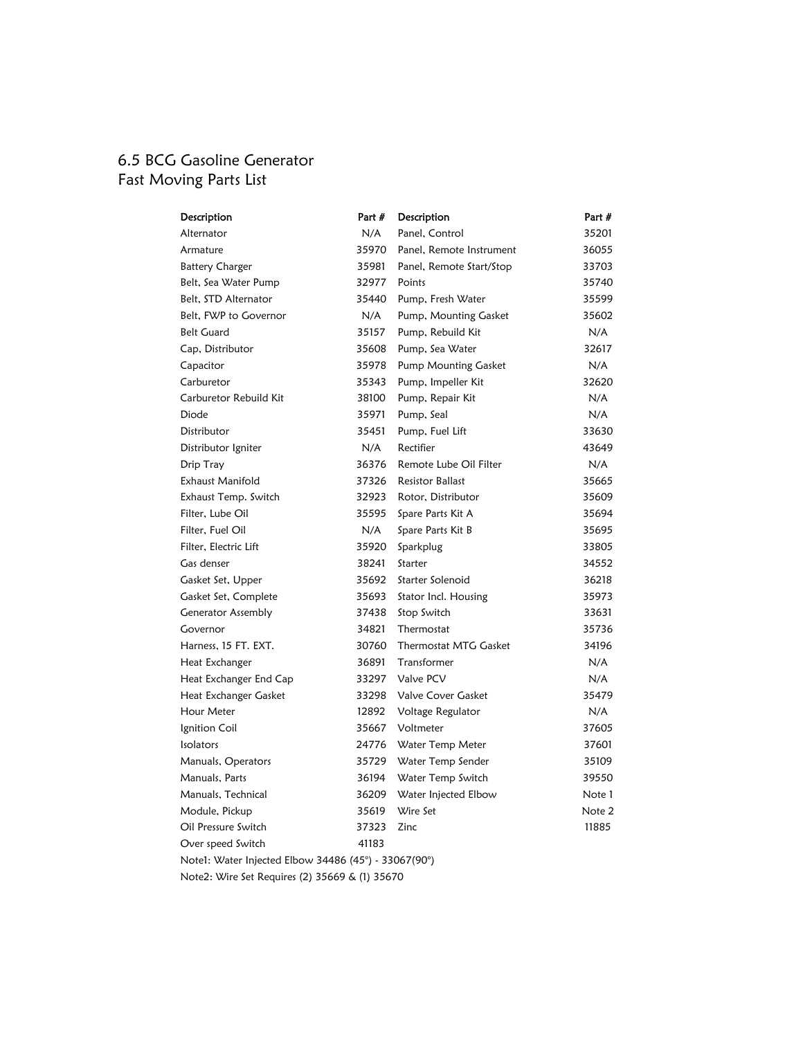#### 6.5 BCG Gasoline Generator Fast Moving Parts List

| Description                                          | Part # | Description               | Part # |
|------------------------------------------------------|--------|---------------------------|--------|
| Alternator                                           | N/A    | Panel, Control            | 35201  |
| Armature                                             | 35970  | Panel, Remote Instrument  | 36055  |
| <b>Battery Charger</b>                               | 35981  | Panel, Remote Start/Stop  | 33703  |
| Belt, Sea Water Pump                                 | 32977  | Points                    | 35740  |
| Belt, STD Alternator                                 | 35440  | Pump, Fresh Water         | 35599  |
| Belt, FWP to Governor                                | N/A    | Pump, Mounting Gasket     | 35602  |
| <b>Belt Guard</b>                                    | 35157  | Pump, Rebuild Kit         | N/A    |
| Cap, Distributor                                     | 35608  | Pump, Sea Water           | 32617  |
| Capacitor                                            | 35978  | Pump Mounting Gasket      | N/A    |
| Carburetor                                           | 35343  | Pump, Impeller Kit        | 32620  |
| Carburetor Rebuild Kit                               | 38100  | Pump, Repair Kit          | N/A    |
| Diode                                                | 35971  | Pump, Seal                | N/A    |
| Distributor                                          | 35451  | Pump, Fuel Lift           | 33630  |
| Distributor Igniter                                  | N/A    | Rectifier                 | 43649  |
| Drip Tray                                            | 36376  | Remote Lube Oil Filter    | N/A    |
| <b>Exhaust Manifold</b>                              | 37326  | <b>Resistor Ballast</b>   | 35665  |
| Exhaust Temp. Switch                                 | 32923  | Rotor, Distributor        | 35609  |
| Filter, Lube Oil                                     | 35595  | Spare Parts Kit A         | 35694  |
| Filter, Fuel Oil                                     | N/A    | Spare Parts Kit B         | 35695  |
| Filter, Electric Lift                                | 35920  | Sparkplug                 | 33805  |
| Gas denser                                           | 38241  | Starter                   | 34552  |
| Gasket Set, Upper                                    | 35692  | Starter Solenoid          | 36218  |
| Gasket Set, Complete                                 | 35693  | Stator Incl. Housing      | 35973  |
| Generator Assembly                                   | 37438  | Stop Switch               | 33631  |
| Governor                                             | 34821  | Thermostat                | 35736  |
| Harness, 15 FT. EXT.                                 | 30760  | Thermostat MTG Gasket     | 34196  |
| Heat Exchanger                                       | 36891  | Transformer               | N/A    |
| Heat Exchanger End Cap                               | 33297  | Valve PCV                 | N/A    |
| Heat Exchanger Gasket                                | 33298  | <b>Valve Cover Gasket</b> | 35479  |
| Hour Meter                                           | 12892  | Voltage Regulator         | N/A    |
| Ignition Coil                                        | 35667  | Voltmeter                 | 37605  |
| Isolators                                            | 24776  | Water Temp Meter          | 37601  |
| Manuals, Operators                                   | 35729  | Water Temp Sender         | 35109  |
| Manuals, Parts                                       | 36194  | Water Temp Switch         | 39550  |
| Manuals, Technical                                   | 36209  | Water Injected Elbow      | Note 1 |
| Module, Pickup                                       | 35619  | Wire Set                  | Note 2 |
| Oil Pressure Switch                                  | 37323  | Zinc                      | 11885  |
| Over speed Switch                                    | 41183  |                           |        |
| Note1: Water Injected Elbow 34486 (45°) - 33067(90°) |        |                           |        |

Note2: Wire Set Requires (2) 35669 & (1) 35670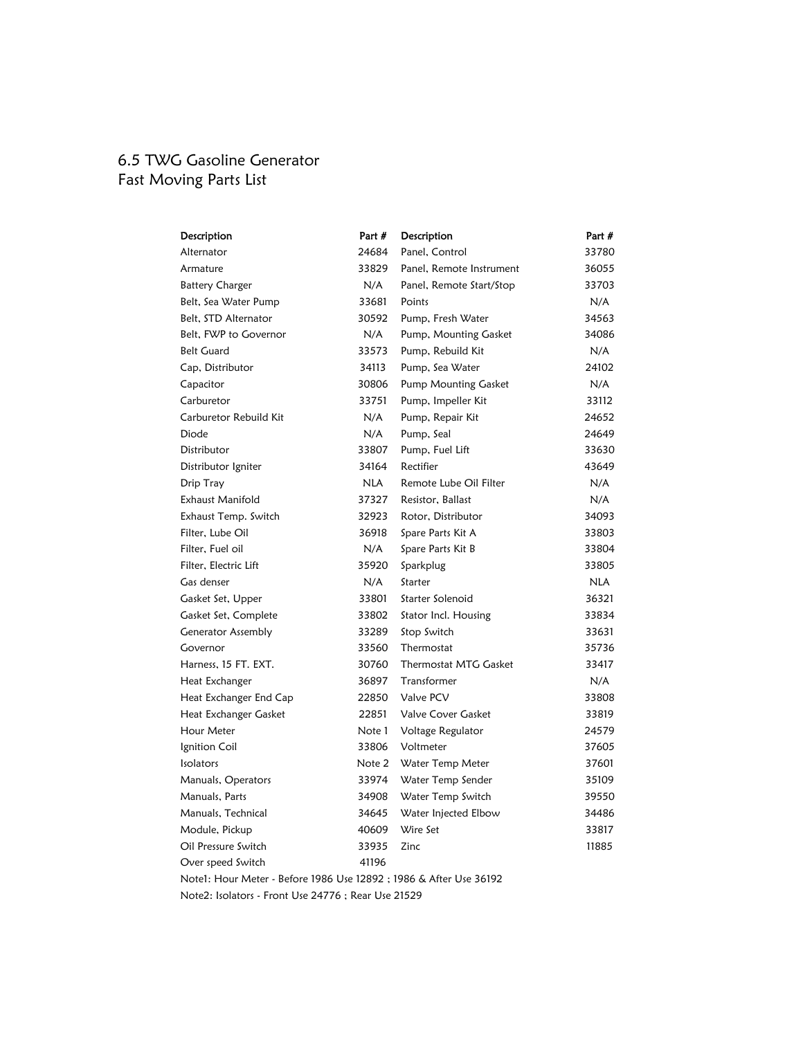#### 6.5 TWG Gasoline Generator Fast Moving Parts List

| Description            | Part #     | Description                  | Part #     |
|------------------------|------------|------------------------------|------------|
| Alternator             | 24684      | Panel, Control               | 33780      |
| Armature               | 33829      | Panel, Remote Instrument     | 36055      |
| <b>Battery Charger</b> | N/A        | Panel, Remote Start/Stop     | 33703      |
| Belt, Sea Water Pump   | 33681      | Points                       | N/A        |
| Belt, STD Alternator   | 30592      | Pump, Fresh Water            | 34563      |
| Belt, FWP to Governor  | N/A        | Pump, Mounting Gasket        | 34086      |
| <b>Belt Guard</b>      | 33573      | Pump, Rebuild Kit            | N/A        |
| Cap, Distributor       | 34113      | Pump, Sea Water              | 24102      |
| Capacitor              | 30806      | Pump Mounting Gasket         | N/A        |
| Carburetor             | 33751      | Pump, Impeller Kit           | 33112      |
| Carburetor Rebuild Kit | N/A        | Pump, Repair Kit             | 24652      |
| Diode                  | N/A        | Pump, Seal                   | 24649      |
| Distributor            | 33807      | Pump, Fuel Lift              | 33630      |
| Distributor Igniter    | 34164      | Rectifier                    | 43649      |
| Drip Tray              | <b>NLA</b> | Remote Lube Oil Filter       | N/A        |
| Exhaust Manifold       | 37327      | Resistor, Ballast            | N/A        |
| Exhaust Temp. Switch   | 32923      | Rotor, Distributor           | 34093      |
| Filter, Lube Oil       | 36918      | Spare Parts Kit A            | 33803      |
| Filter, Fuel oil       | N/A        | Spare Parts Kit B            | 33804      |
| Filter, Electric Lift  | 35920      | Sparkplug                    | 33805      |
| Gas denser             | N/A        | Starter                      | <b>NLA</b> |
| Gasket Set, Upper      | 33801      | Starter Solenoid             | 36321      |
| Gasket Set, Complete   | 33802      | Stator Incl. Housing         | 33834      |
| Generator Assembly     | 33289      | Stop Switch                  | 33631      |
| Governor               | 33560      | Thermostat                   | 35736      |
| Harness, 15 FT. EXT.   | 30760      | <b>Thermostat MTG Gasket</b> | 33417      |
| Heat Exchanger         | 36897      | Transformer                  | N/A        |
| Heat Exchanger End Cap | 22850      | Valve PCV                    | 33808      |
| Heat Exchanger Gasket  | 22851      | <b>Valve Cover Gasket</b>    | 33819      |
| Hour Meter             | Note 1     | Voltage Regulator            | 24579      |
| Ignition Coil          | 33806      | Voltmeter                    | 37605      |
| Isolators              | Note 2     | Water Temp Meter             | 37601      |
| Manuals, Operators     | 33974      | Water Temp Sender            | 35109      |
| Manuals, Parts         | 34908      | Water Temp Switch            | 39550      |
| Manuals, Technical     | 34645      | Water Injected Elbow         | 34486      |
| Module, Pickup         | 40609      | Wire Set                     | 33817      |
| Oil Pressure Switch    | 33935      | Zinc                         | 11885      |
| Over speed Switch      | 41196      |                              |            |
|                        |            |                              |            |

Note1: Hour Meter - Before 1986 Use 12892 ; 1986 & After Use 36192

Note2: Isolators - Front Use 24776 ; Rear Use 21529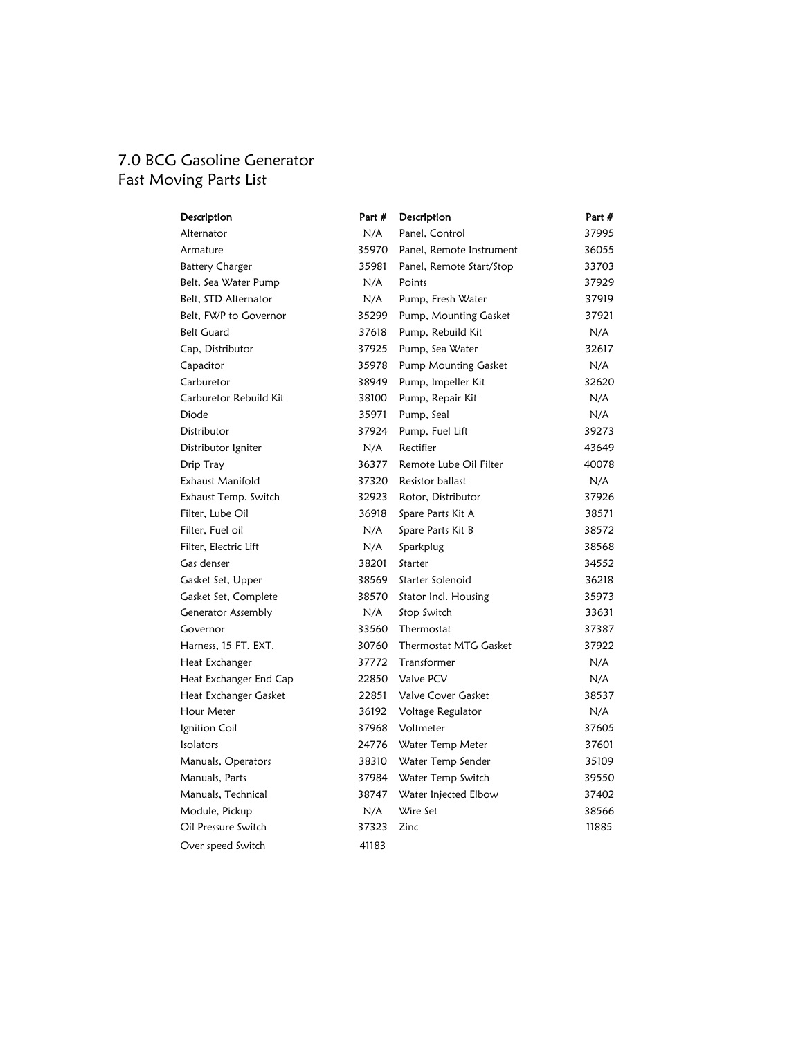## 7.0 BCG Gasoline Generator Fast Moving Parts List

| Description            | Part # | Description               | Part # |
|------------------------|--------|---------------------------|--------|
| Alternator             | N/A    | Panel, Control            | 37995  |
| Armature               | 35970  | Panel, Remote Instrument  | 36055  |
| <b>Battery Charger</b> | 35981  | Panel, Remote Start/Stop  | 33703  |
| Belt, Sea Water Pump   | N/A    | Points                    | 37929  |
| Belt, STD Alternator   | N/A    | Pump, Fresh Water         | 37919  |
| Belt. FWP to Governor  | 35299  | Pump, Mounting Gasket     | 37921  |
| <b>Belt Guard</b>      | 37618  | Pump, Rebuild Kit         | N/A    |
| Cap, Distributor       | 37925  | Pump, Sea Water           | 32617  |
| Capacitor              | 35978  | Pump Mounting Gasket      | N/A    |
| Carburetor             | 38949  | Pump, Impeller Kit        | 32620  |
| Carburetor Rebuild Kit | 38100  | Pump, Repair Kit          | N/A    |
| Diode                  | 35971  | Pump, Seal                | N/A    |
| Distributor            | 37924  | Pump, Fuel Lift           | 39273  |
| Distributor Igniter    | N/A    | Rectifier                 | 43649  |
| Drip Tray              | 36377  | Remote Lube Oil Filter    | 40078  |
| Exhaust Manifold       | 37320  | <b>Resistor ballast</b>   | N/A    |
| Exhaust Temp. Switch   | 32923  | Rotor, Distributor        | 37926  |
| Filter, Lube Oil       | 36918  | Spare Parts Kit A         | 38571  |
| Filter, Fuel oil       | N/A    | Spare Parts Kit B         | 38572  |
| Filter, Electric Lift  | N/A    | Sparkplug                 | 38568  |
| Gas denser             | 38201  | Starter                   | 34552  |
| Gasket Set, Upper      | 38569  | Starter Solenoid          | 36218  |
| Gasket Set, Complete   | 38570  | Stator Incl. Housing      | 35973  |
| Generator Assembly     | N/A    | Stop Switch               | 33631  |
| Governor               | 33560  | Thermostat                | 37387  |
| Harness, 15 FT. EXT.   | 30760  | Thermostat MTG Gasket     | 37922  |
| Heat Exchanger         | 37772  | Transformer               | N/A    |
| Heat Exchanger End Cap | 22850  | Valve PCV                 | N/A    |
| Heat Exchanger Gasket  | 22851  | <b>Valve Cover Gasket</b> | 38537  |
| Hour Meter             | 36192  | Voltage Regulator         | N/A    |
| Ignition Coil          | 37968  | Voltmeter                 | 37605  |
| Isolators              | 24776  | Water Temp Meter          | 37601  |
| Manuals, Operators     | 38310  | Water Temp Sender         | 35109  |
| Manuals, Parts         | 37984  | Water Temp Switch         | 39550  |
| Manuals, Technical     | 38747  | Water Injected Elbow      | 37402  |
| Module, Pickup         | N/A    | Wire Set                  | 38566  |
| Oil Pressure Switch    | 37323  | Zinc                      | 11885  |
|                        |        |                           |        |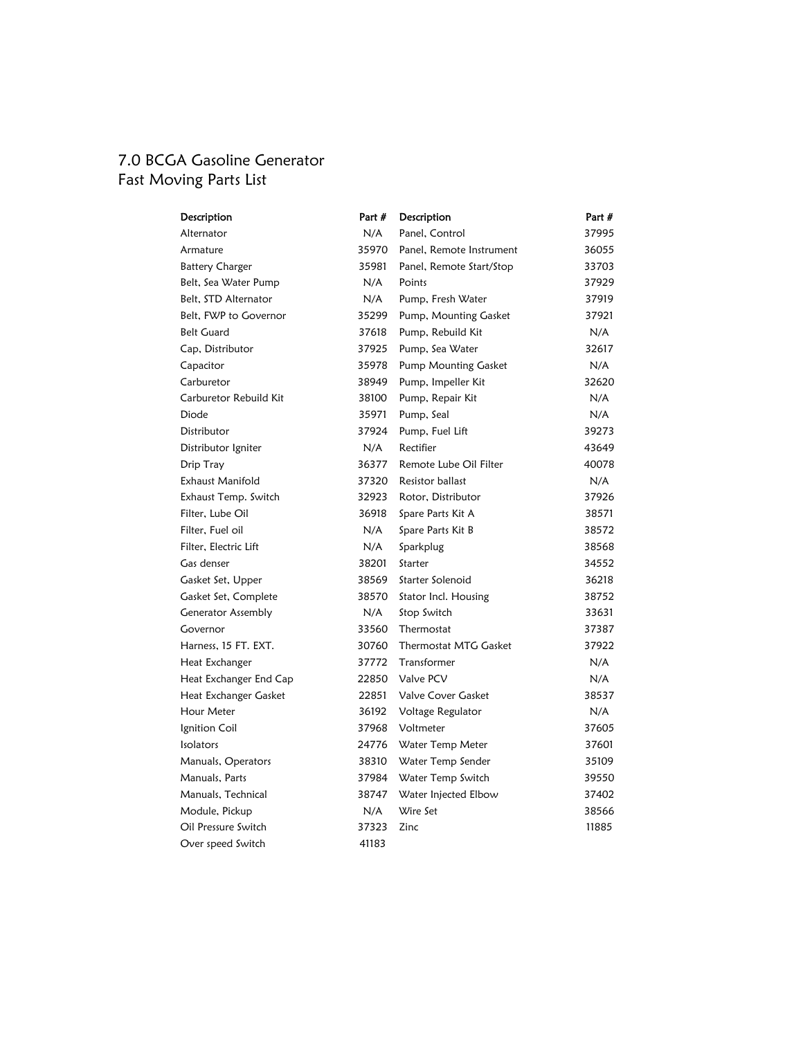## 7.0 BCGA Gasoline Generator Fast Moving Parts List

| Description            | Part # | Description              | Part # |
|------------------------|--------|--------------------------|--------|
| Alternator             | N/A    | Panel, Control           | 37995  |
| Armature               | 35970  | Panel, Remote Instrument | 36055  |
| <b>Battery Charger</b> | 35981  | Panel, Remote Start/Stop | 33703  |
| Belt, Sea Water Pump   | N/A    | Points                   | 37929  |
| Belt. STD Alternator   | N/A    | Pump, Fresh Water        | 37919  |
| Belt, FWP to Governor  | 35299  | Pump, Mounting Gasket    | 37921  |
| <b>Belt Guard</b>      | 37618  | Pump, Rebuild Kit        | N/A    |
| Cap, Distributor       | 37925  | Pump, Sea Water          | 32617  |
| Capacitor              | 35978  | Pump Mounting Gasket     | N/A    |
| Carburetor             | 38949  | Pump, Impeller Kit       | 32620  |
| Carburetor Rebuild Kit | 38100  | Pump, Repair Kit         | N/A    |
| Diode                  | 35971  | Pump, Seal               | N/A    |
| Distributor            | 37924  | Pump, Fuel Lift          | 39273  |
| Distributor Igniter    | N/A    | Rectifier                | 43649  |
| Drip Tray              | 36377  | Remote Lube Oil Filter   | 40078  |
| Exhaust Manifold       | 37320  | <b>Resistor ballast</b>  | N/A    |
| Exhaust Temp. Switch   | 32923  | Rotor, Distributor       | 37926  |
| Filter, Lube Oil       | 36918  | Spare Parts Kit A        | 38571  |
| Filter, Fuel oil       | N/A    | Spare Parts Kit B        | 38572  |
| Filter, Electric Lift  | N/A    | Sparkplug                | 38568  |
| Gas denser             | 38201  | Starter                  | 34552  |
| Gasket Set, Upper      | 38569  | Starter Solenoid         | 36218  |
| Gasket Set, Complete   | 38570  | Stator Incl. Housing     | 38752  |
| Generator Assembly     | N/A    | Stop Switch              | 33631  |
| Governor               | 33560  | Thermostat               | 37387  |
| Harness, 15 FT. EXT.   | 30760  | Thermostat MTG Gasket    | 37922  |
| Heat Exchanger         | 37772  | Transformer              | N/A    |
| Heat Exchanger End Cap | 22850  | Valve PCV                | N/A    |
| Heat Exchanger Gasket  | 22851  | Valve Cover Gasket       | 38537  |
| Hour Meter             | 36192  | Voltage Regulator        | N/A    |
| Ignition Coil          | 37968  | Voltmeter                | 37605  |
| Isolators              | 24776  | Water Temp Meter         | 37601  |
| Manuals, Operators     | 38310  | Water Temp Sender        | 35109  |
| Manuals, Parts         | 37984  | Water Temp Switch        | 39550  |
| Manuals, Technical     | 38747  | Water Injected Elbow     | 37402  |
| Module, Pickup         | N/A    | Wire Set                 | 38566  |
| Oil Pressure Switch    | 37323  | Zinc                     | 11885  |
| Over speed Switch      | 41183  |                          |        |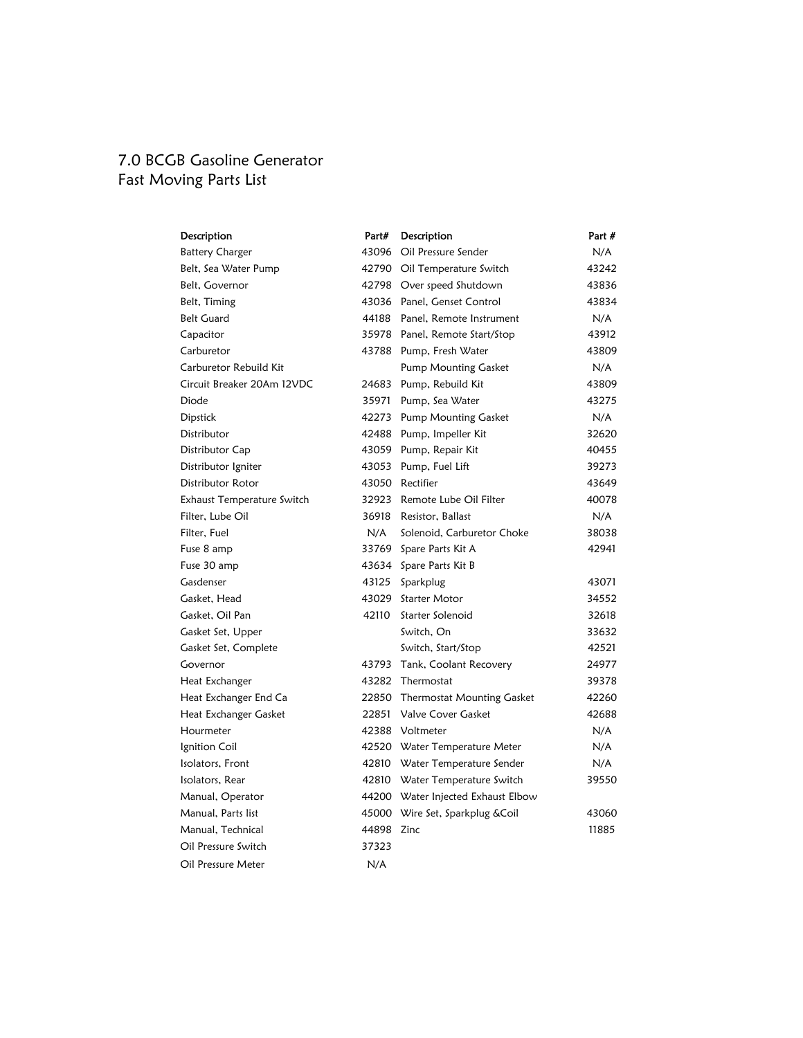#### 7.0 BCGB Gasoline Generator Fast Moving Parts List

| Description                | Part# | Description                        | Part # |
|----------------------------|-------|------------------------------------|--------|
| <b>Battery Charger</b>     |       | 43096 Oil Pressure Sender          | N/A    |
| Belt, Sea Water Pump       |       | 42790 Oil Temperature Switch       | 43242  |
| Belt, Governor             |       | 42798 Over speed Shutdown          | 43836  |
| Belt, Timing               |       | 43036 Panel, Genset Control        | 43834  |
| <b>Belt Guard</b>          | 44188 | Panel, Remote Instrument           | N/A    |
| Capacitor                  |       | 35978 Panel, Remote Start/Stop     | 43912  |
| Carburetor                 |       | 43788 Pump, Fresh Water            | 43809  |
| Carburetor Rebuild Kit     |       | Pump Mounting Gasket               | N/A    |
| Circuit Breaker 20Am 12VDC |       | 24683 Pump, Rebuild Kit            | 43809  |
| Diode                      | 35971 | Pump, Sea Water                    | 43275  |
| Dipstick                   |       | 42273 Pump Mounting Gasket         | N/A    |
| Distributor                |       | 42488 Pump, Impeller Kit           | 32620  |
| Distributor Cap            |       | 43059 Pump, Repair Kit             | 40455  |
| Distributor Igniter        |       | 43053 Pump, Fuel Lift              | 39273  |
| Distributor Rotor          | 43050 | Rectifier                          | 43649  |
| Exhaust Temperature Switch | 32923 | Remote Lube Oil Filter             | 40078  |
| Filter, Lube Oil           | 36918 | Resistor, Ballast                  | N/A    |
| Filter, Fuel               | N/A   | Solenoid, Carburetor Choke         | 38038  |
| Fuse 8 amp                 |       | 33769 Spare Parts Kit A            | 42941  |
| Fuse 30 amp                |       | 43634 Spare Parts Kit B            |        |
| Gasdenser                  | 43125 | Sparkplug                          | 43071  |
| Gasket, Head               | 43029 | Starter Motor                      | 34552  |
| Gasket, Oil Pan            | 42110 | Starter Solenoid                   | 32618  |
| Gasket Set, Upper          |       | Switch, On                         | 33632  |
| Gasket Set, Complete       |       | Switch, Start/Stop                 | 42521  |
| Governor                   |       | 43793 Tank, Coolant Recovery       | 24977  |
| Heat Exchanger             | 43282 | Thermostat                         | 39378  |
| Heat Exchanger End Ca      |       | 22850 Thermostat Mounting Gasket   | 42260  |
| Heat Exchanger Gasket      | 22851 | Valve Cover Gasket                 | 42688  |
| Hourmeter                  | 42388 | Voltmeter                          | N/A    |
| Ignition Coil              |       | 42520 Water Temperature Meter      | N/A    |
| Isolators, Front           |       | 42810 Water Temperature Sender     | N/A    |
| Isolators, Rear            |       | 42810 Water Temperature Switch     | 39550  |
| Manual, Operator           |       | 44200 Water Injected Exhaust Elbow |        |
| Manual, Parts list         |       | 45000 Wire Set, Sparkplug & Coil   | 43060  |
| Manual, Technical          | 44898 | Zinc                               | 11885  |
| Oil Pressure Switch        | 37323 |                                    |        |
| Oil Pressure Meter         | N/A   |                                    |        |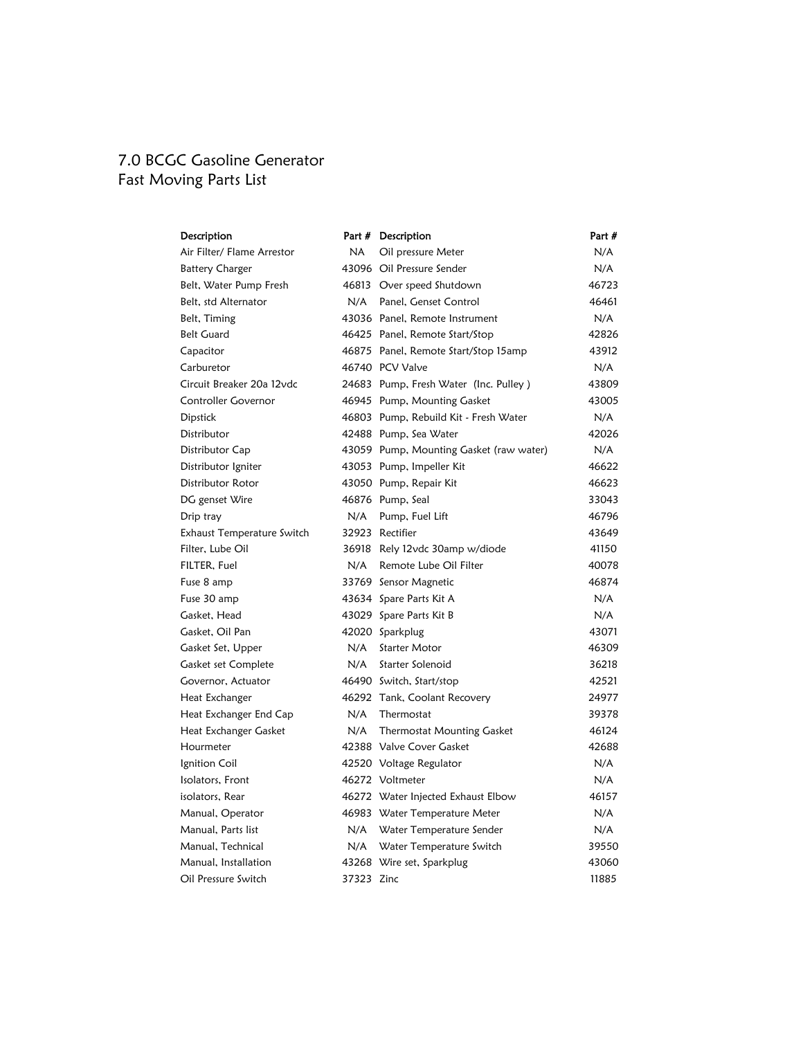# 7.0 BCGC Gasoline Generator Fast Moving Parts List

| Description                |            | Part # Description                      | Part # |
|----------------------------|------------|-----------------------------------------|--------|
| Air Filter/ Flame Arrestor | NA         | Oil pressure Meter                      | N/A    |
| <b>Battery Charger</b>     |            | 43096 Oil Pressure Sender               | N/A    |
| Belt, Water Pump Fresh     |            | 46813 Over speed Shutdown               | 46723  |
| Belt, std Alternator       | N/A        | Panel, Genset Control                   | 46461  |
| Belt, Timing               |            | 43036 Panel, Remote Instrument          | N/A    |
| <b>Belt Guard</b>          |            | 46425 Panel, Remote Start/Stop          | 42826  |
| Capacitor                  |            | 46875 Panel, Remote Start/Stop 15amp    | 43912  |
| Carburetor                 |            | 46740 PCV Valve                         | N/A    |
| Circuit Breaker 20a 12vdc  |            | 24683 Pump, Fresh Water (Inc. Pulley)   | 43809  |
| <b>Controller Governor</b> |            | 46945 Pump, Mounting Gasket             | 43005  |
| Dipstick                   |            | 46803 Pump, Rebuild Kit - Fresh Water   | N/A    |
| Distributor                |            | 42488 Pump, Sea Water                   | 42026  |
| Distributor Cap            |            | 43059 Pump, Mounting Gasket (raw water) | N/A    |
| Distributor Igniter        |            | 43053 Pump, Impeller Kit                | 46622  |
| Distributor Rotor          |            | 43050 Pump, Repair Kit                  | 46623  |
| DG genset Wire             |            | 46876 Pump, Seal                        | 33043  |
| Drip tray                  | N/A        | Pump, Fuel Lift                         | 46796  |
| Exhaust Temperature Switch |            | 32923 Rectifier                         | 43649  |
| Filter, Lube Oil           |            | 36918 Rely 12vdc 30amp w/diode          | 41150  |
| FILTER, Fuel               | N/A        | Remote Lube Oil Filter                  | 40078  |
| Fuse 8 amp                 |            | 33769 Sensor Magnetic                   | 46874  |
| Fuse 30 amp                |            | 43634 Spare Parts Kit A                 | N/A    |
| Gasket, Head               |            | 43029 Spare Parts Kit B                 | N/A    |
| Gasket, Oil Pan            |            | 42020 Sparkplug                         | 43071  |
| Gasket Set, Upper          | N/A        | <b>Starter Motor</b>                    | 46309  |
| Gasket set Complete        | N/A        | Starter Solenoid                        | 36218  |
| Governor, Actuator         |            | 46490 Switch, Start/stop                | 42521  |
| Heat Exchanger             |            | 46292 Tank, Coolant Recovery            | 24977  |
| Heat Exchanger End Cap     | N/A        | Thermostat                              | 39378  |
| Heat Exchanger Gasket      | N/A        | Thermostat Mounting Gasket              | 46124  |
| Hourmeter                  |            | 42388 Valve Cover Gasket                | 42688  |
| Ignition Coil              |            | 42520 Voltage Regulator                 | N/A    |
| Isolators, Front           |            | 46272 Voltmeter                         | N/A    |
| isolators, Rear            |            | 46272 Water Injected Exhaust Elbow      | 46157  |
| Manual, Operator           |            | 46983 Water Temperature Meter           | N/A    |
| Manual, Parts list         | N/A        | Water Temperature Sender                | N/A    |
| Manual, Technical          | N/A        | Water Temperature Switch                | 39550  |
| Manual, Installation       |            | 43268 Wire set, Sparkplug               | 43060  |
| Oil Pressure Switch        | 37323 Zinc |                                         | 11885  |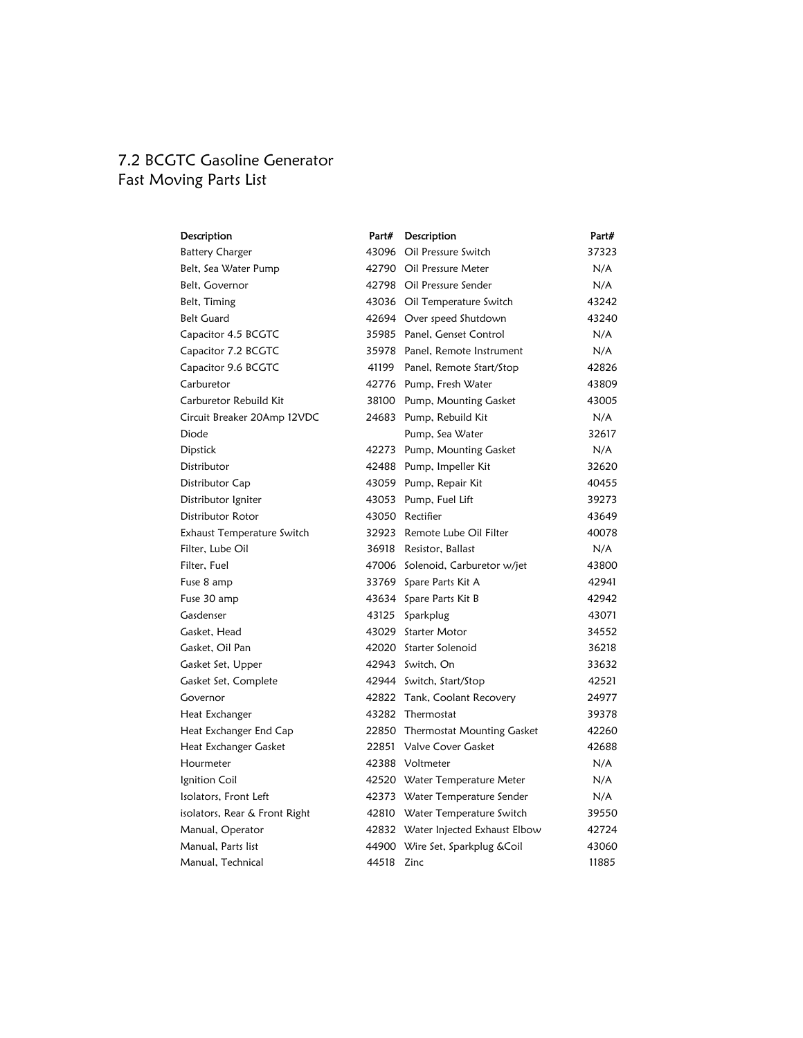## 7.2 BCGTC Gasoline Generator Fast Moving Parts List

| Description                   | Part# | Description                        | Part# |
|-------------------------------|-------|------------------------------------|-------|
| <b>Battery Charger</b>        |       | 43096 Oil Pressure Switch          | 37323 |
| Belt, Sea Water Pump          |       | 42790 Oil Pressure Meter           | N/A   |
| Belt, Governor                |       | 42798 Oil Pressure Sender          | N/A   |
| Belt, Timing                  |       | 43036 Oil Temperature Switch       | 43242 |
| <b>Belt Guard</b>             |       | 42694 Over speed Shutdown          | 43240 |
| Capacitor 4.5 BCGTC           |       | 35985 Panel, Genset Control        | N/A   |
| Capacitor 7.2 BCGTC           |       | 35978 Panel, Remote Instrument     | N/A   |
| Capacitor 9.6 BCGTC           |       | 41199 Panel, Remote Start/Stop     | 42826 |
| Carburetor                    |       | 42776 Pump, Fresh Water            | 43809 |
| Carburetor Rebuild Kit        |       | 38100 Pump, Mounting Gasket        | 43005 |
| Circuit Breaker 20Amp 12VDC   |       | 24683 Pump, Rebuild Kit            | N/A   |
| Diode                         |       | Pump, Sea Water                    | 32617 |
| Dipstick                      |       | 42273 Pump, Mounting Gasket        | N/A   |
| Distributor                   |       | 42488 Pump, Impeller Kit           | 32620 |
| Distributor Cap               |       | 43059 Pump, Repair Kit             | 40455 |
| Distributor Igniter           |       | 43053 Pump, Fuel Lift              | 39273 |
| Distributor Rotor             |       | 43050 Rectifier                    | 43649 |
| Exhaust Temperature Switch    |       | 32923 Remote Lube Oil Filter       | 40078 |
| Filter, Lube Oil              |       | 36918 Resistor, Ballast            | N/A   |
| Filter, Fuel                  |       | 47006 Solenoid, Carburetor w/jet   | 43800 |
| Fuse 8 amp                    |       | 33769 Spare Parts Kit A            | 42941 |
| Fuse 30 amp                   |       | 43634 Spare Parts Kit B            | 42942 |
| Gasdenser                     |       | 43125 Sparkplug                    | 43071 |
| Gasket, Head                  |       | 43029 Starter Motor                | 34552 |
| Gasket, Oil Pan               |       | 42020 Starter Solenoid             | 36218 |
| Gasket Set, Upper             |       | 42943 Switch, On                   | 33632 |
| Gasket Set, Complete          |       | 42944 Switch, Start/Stop           | 42521 |
| Governor                      |       | 42822 Tank, Coolant Recovery       | 24977 |
| Heat Exchanger                |       | 43282 Thermostat                   | 39378 |
| Heat Exchanger End Cap        |       | 22850 Thermostat Mounting Gasket   | 42260 |
| Heat Exchanger Gasket         |       | 22851 Valve Cover Gasket           | 42688 |
| Hourmeter                     |       | 42388 Voltmeter                    | N/A   |
| Ignition Coil                 |       | 42520 Water Temperature Meter      | N/A   |
| Isolators, Front Left         |       | 42373 Water Temperature Sender     | N/A   |
| isolators, Rear & Front Right |       | 42810 Water Temperature Switch     | 39550 |
| Manual, Operator              |       | 42832 Water Injected Exhaust Elbow | 42724 |
| Manual, Parts list            |       | 44900 Wire Set, Sparkplug & Coil   | 43060 |
| Manual, Technical             | 44518 | Zinc                               | 11885 |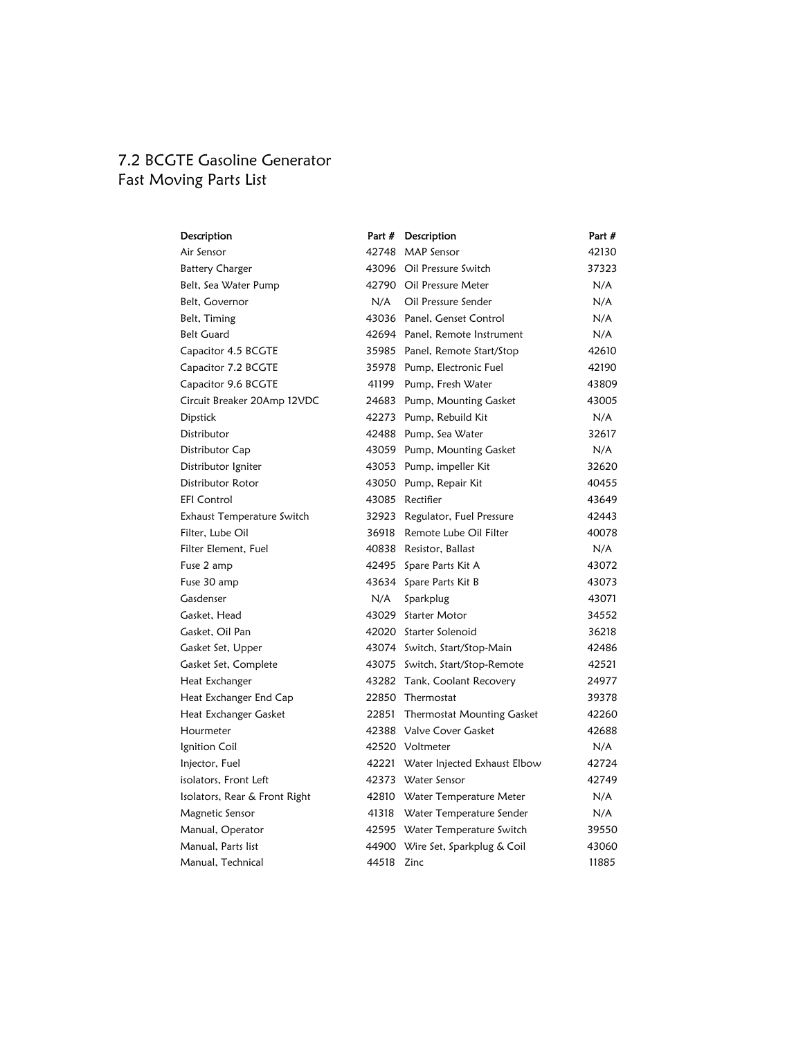#### 7.2 BCGTE Gasoline Generator Fast Moving Parts List

| Description                   |       | Part # Description                 | Part # |
|-------------------------------|-------|------------------------------------|--------|
| Air Sensor                    |       | 42748 MAP Sensor                   | 42130  |
| <b>Battery Charger</b>        |       | 43096 Oil Pressure Switch          | 37323  |
| Belt, Sea Water Pump          |       | 42790 Oil Pressure Meter           | N/A    |
| Belt, Governor                | N/A   | Oil Pressure Sender                | N/A    |
| Belt, Timing                  |       | 43036 Panel, Genset Control        | N/A    |
| <b>Belt Guard</b>             |       | 42694 Panel, Remote Instrument     | N/A    |
| Capacitor 4.5 BCGTE           |       | 35985 Panel, Remote Start/Stop     | 42610  |
| Capacitor 7.2 BCGTE           |       | 35978 Pump, Electronic Fuel        | 42190  |
| Capacitor 9.6 BCGTE           |       | 41199 Pump, Fresh Water            | 43809  |
| Circuit Breaker 20Amp 12VDC   |       | 24683 Pump, Mounting Gasket        | 43005  |
| Dipstick                      |       | 42273 Pump, Rebuild Kit            | N/A    |
| Distributor                   |       | 42488 Pump, Sea Water              | 32617  |
| Distributor Cap               |       | 43059 Pump, Mounting Gasket        | N/A    |
| Distributor Igniter           |       | 43053 Pump, impeller Kit           | 32620  |
| Distributor Rotor             |       | 43050 Pump, Repair Kit             | 40455  |
| <b>EFI Control</b>            |       | 43085 Rectifier                    | 43649  |
| Exhaust Temperature Switch    |       | 32923 Regulator, Fuel Pressure     | 42443  |
| Filter, Lube Oil              |       | 36918 Remote Lube Oil Filter       | 40078  |
| Filter Element, Fuel          |       | 40838 Resistor, Ballast            | N/A    |
| Fuse 2 amp                    |       | 42495 Spare Parts Kit A            | 43072  |
| Fuse 30 amp                   |       | 43634 Spare Parts Kit B            | 43073  |
| Gasdenser                     | N/A   | Sparkplug                          | 43071  |
| Gasket, Head                  |       | 43029 Starter Motor                | 34552  |
| Gasket, Oil Pan               |       | 42020 Starter Solenoid             | 36218  |
| Gasket Set, Upper             |       | 43074 Switch, Start/Stop-Main      | 42486  |
| Gasket Set, Complete          |       | 43075 Switch, Start/Stop-Remote    | 42521  |
| Heat Exchanger                |       | 43282 Tank, Coolant Recovery       | 24977  |
| Heat Exchanger End Cap        |       | 22850 Thermostat                   | 39378  |
| Heat Exchanger Gasket         | 22851 | Thermostat Mounting Gasket         | 42260  |
| Hourmeter                     |       | 42388 Valve Cover Gasket           | 42688  |
| Ignition Coil                 |       | 42520 Voltmeter                    | N/A    |
| Injector, Fuel                |       | 42221 Water Injected Exhaust Elbow | 42724  |
| isolators, Front Left         |       | 42373 Water Sensor                 | 42749  |
| Isolators, Rear & Front Right |       | 42810 Water Temperature Meter      | N/A    |
| Magnetic Sensor               |       | 41318 Water Temperature Sender     | N/A    |
| Manual, Operator              |       | 42595 Water Temperature Switch     | 39550  |
| Manual, Parts list            |       | 44900 Wire Set, Sparkplug & Coil   | 43060  |
| Manual, Technical             | 44518 | Zinc                               | 11885  |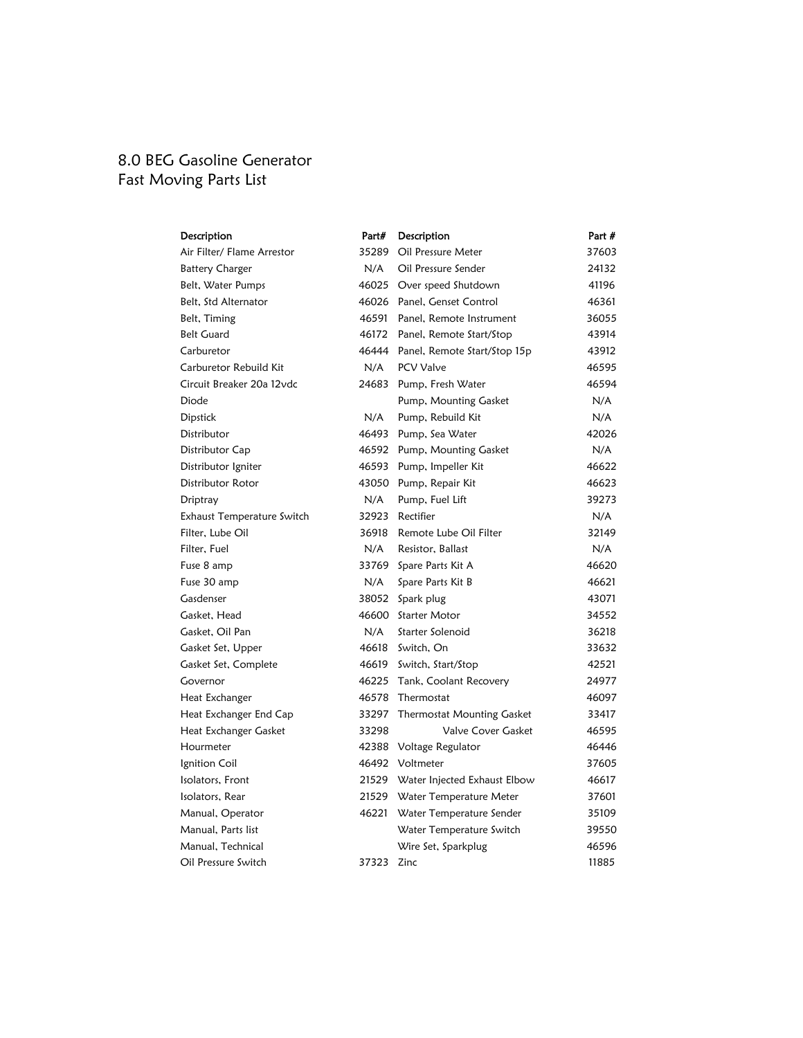#### 8.0 BEG Gasoline Generator Fast Moving Parts List

| Description                | Part# | <b>Description</b>                 | Part # |
|----------------------------|-------|------------------------------------|--------|
| Air Filter/ Flame Arrestor | 35289 | Oil Pressure Meter                 | 37603  |
| <b>Battery Charger</b>     | N/A   | Oil Pressure Sender                | 24132  |
| Belt, Water Pumps          | 46025 | Over speed Shutdown                | 41196  |
| Belt, Std Alternator       |       | 46026 Panel, Genset Control        | 46361  |
| Belt, Timing               | 46591 | Panel, Remote Instrument           | 36055  |
| <b>Belt Guard</b>          | 46172 | Panel, Remote Start/Stop           | 43914  |
| Carburetor                 | 46444 | Panel, Remote Start/Stop 15p       | 43912  |
| Carburetor Rebuild Kit     | N/A   | <b>PCV Valve</b>                   | 46595  |
| Circuit Breaker 20a 12vdc  | 24683 | Pump, Fresh Water                  | 46594  |
| Diode                      |       | Pump, Mounting Gasket              | N/A    |
| <b>Dipstick</b>            | N/A   | Pump, Rebuild Kit                  | N/A    |
| Distributor                |       | 46493 Pump, Sea Water              | 42026  |
| Distributor Cap            |       | 46592 Pump, Mounting Gasket        | N/A    |
| Distributor Igniter        |       | 46593 Pump, Impeller Kit           | 46622  |
| Distributor Rotor          |       | 43050 Pump, Repair Kit             | 46623  |
| Driptray                   | N/A   | Pump, Fuel Lift                    | 39273  |
| Exhaust Temperature Switch | 32923 | Rectifier                          | N/A    |
| Filter, Lube Oil           | 36918 | Remote Lube Oil Filter             | 32149  |
| Filter, Fuel               | N/A   | Resistor, Ballast                  | N/A    |
| Fuse 8 amp                 | 33769 | Spare Parts Kit A                  | 46620  |
| Fuse 30 amp                | N/A   | Spare Parts Kit B                  | 46621  |
| Gasdenser                  | 38052 | Spark plug                         | 43071  |
| Gasket, Head               | 46600 | <b>Starter Motor</b>               | 34552  |
| Gasket, Oil Pan            | N/A   | Starter Solenoid                   | 36218  |
| Gasket Set, Upper          |       | 46618 Switch, On                   | 33632  |
| Gasket Set, Complete       |       | 46619 Switch, Start/Stop           | 42521  |
| Governor                   | 46225 | Tank, Coolant Recovery             | 24977  |
| Heat Exchanger             | 46578 | Thermostat                         | 46097  |
| Heat Exchanger End Cap     | 33297 | Thermostat Mounting Gasket         | 33417  |
| Heat Exchanger Gasket      | 33298 | Valve Cover Gasket                 | 46595  |
| Hourmeter                  |       | 42388 Voltage Regulator            | 46446  |
| Ignition Coil              |       | 46492 Voltmeter                    | 37605  |
| Isolators, Front           |       | 21529 Water Injected Exhaust Elbow | 46617  |
| Isolators, Rear            |       | 21529 Water Temperature Meter      | 37601  |
| Manual, Operator           | 46221 | Water Temperature Sender           | 35109  |
| Manual, Parts list         |       | Water Temperature Switch           | 39550  |
| Manual, Technical          |       | Wire Set, Sparkplug                | 46596  |
| Oil Pressure Switch        | 37323 | Zinc                               | 11885  |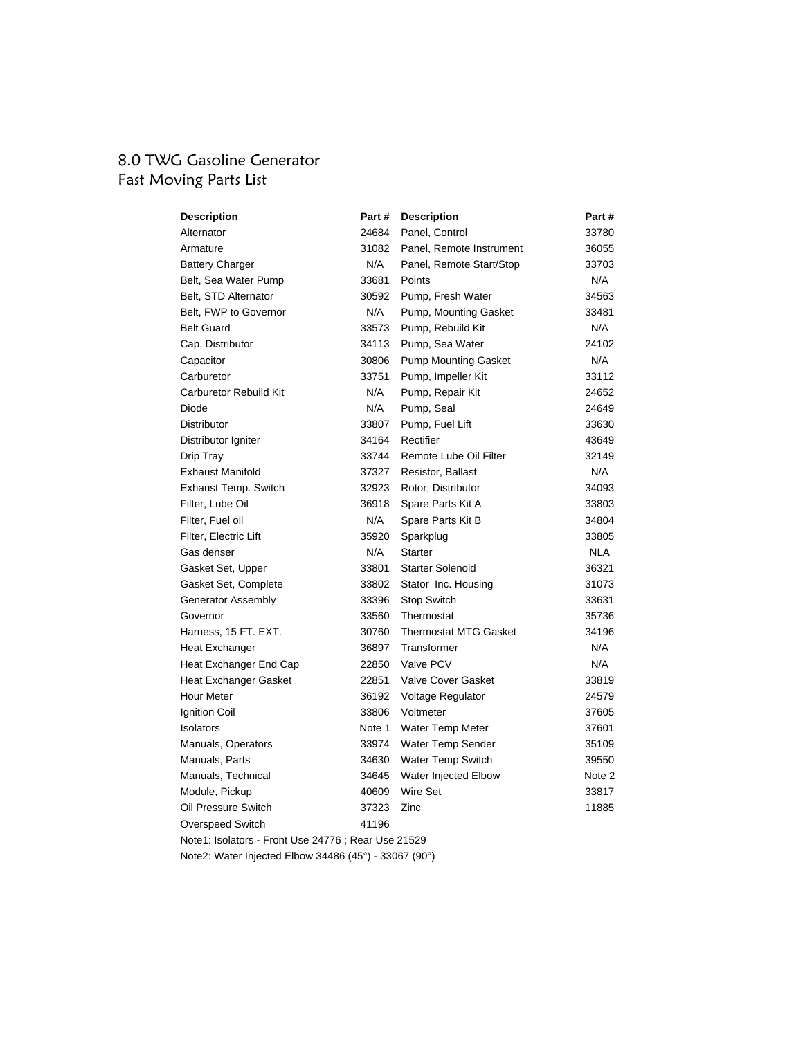#### 8.0 TWG Gasoline Generator Fast Moving Parts List

| <b>Description</b>                                 | Part # | <b>Description</b>           | Part #     |
|----------------------------------------------------|--------|------------------------------|------------|
| Alternator                                         | 24684  | Panel, Control               | 33780      |
| Armature                                           | 31082  | Panel, Remote Instrument     | 36055      |
| <b>Battery Charger</b>                             | N/A    | Panel, Remote Start/Stop     | 33703      |
| Belt, Sea Water Pump                               | 33681  | Points                       | N/A        |
| Belt, STD Alternator                               | 30592  | Pump, Fresh Water            | 34563      |
| Belt, FWP to Governor                              | N/A    | Pump, Mounting Gasket        | 33481      |
| <b>Belt Guard</b>                                  | 33573  | Pump, Rebuild Kit            | N/A        |
| Cap, Distributor                                   | 34113  | Pump, Sea Water              | 24102      |
| Capacitor                                          | 30806  | <b>Pump Mounting Gasket</b>  | N/A        |
| Carburetor                                         | 33751  | Pump, Impeller Kit           | 33112      |
| <b>Carburetor Rebuild Kit</b>                      | N/A    | Pump, Repair Kit             | 24652      |
| Diode                                              | N/A    | Pump, Seal                   | 24649      |
| <b>Distributor</b>                                 | 33807  | Pump, Fuel Lift              | 33630      |
| Distributor Igniter                                | 34164  | Rectifier                    | 43649      |
| Drip Tray                                          | 33744  | Remote Lube Oil Filter       | 32149      |
| <b>Exhaust Manifold</b>                            | 37327  | Resistor, Ballast            | N/A        |
| Exhaust Temp. Switch                               | 32923  | Rotor, Distributor           | 34093      |
| Filter, Lube Oil                                   | 36918  | Spare Parts Kit A            | 33803      |
| Filter, Fuel oil                                   | N/A    | Spare Parts Kit B            | 34804      |
| Filter, Electric Lift                              | 35920  | Sparkplug                    | 33805      |
| Gas denser                                         | N/A    | <b>Starter</b>               | <b>NLA</b> |
| Gasket Set, Upper                                  | 33801  | <b>Starter Solenoid</b>      | 36321      |
| Gasket Set, Complete                               | 33802  | Stator Inc. Housing          | 31073      |
| <b>Generator Assembly</b>                          | 33396  | <b>Stop Switch</b>           | 33631      |
| Governor                                           | 33560  | Thermostat                   | 35736      |
| Harness, 15 FT. EXT.                               | 30760  | <b>Thermostat MTG Gasket</b> | 34196      |
| Heat Exchanger                                     | 36897  | Transformer                  | N/A        |
| Heat Exchanger End Cap                             | 22850  | Valve PCV                    | N/A        |
| <b>Heat Exchanger Gasket</b>                       | 22851  | Valve Cover Gasket           | 33819      |
| <b>Hour Meter</b>                                  | 36192  | Voltage Regulator            | 24579      |
| Ignition Coil                                      | 33806  | Voltmeter                    | 37605      |
| Isolators                                          | Note 1 | Water Temp Meter             | 37601      |
| Manuals, Operators                                 | 33974  | Water Temp Sender            | 35109      |
| Manuals, Parts                                     | 34630  | <b>Water Temp Switch</b>     | 39550      |
| Manuals, Technical                                 | 34645  | Water Injected Elbow         | Note 2     |
| Module, Pickup                                     | 40609  | Wire Set                     | 33817      |
| Oil Pressure Switch                                | 37323  | Zinc                         | 11885      |
| <b>Overspeed Switch</b>                            | 41196  |                              |            |
| Note1: Isolators - Front Use 24776; Rear Use 21529 |        |                              |            |

Note2: Water Injected Elbow 34486 (45°) - 33067 (90°)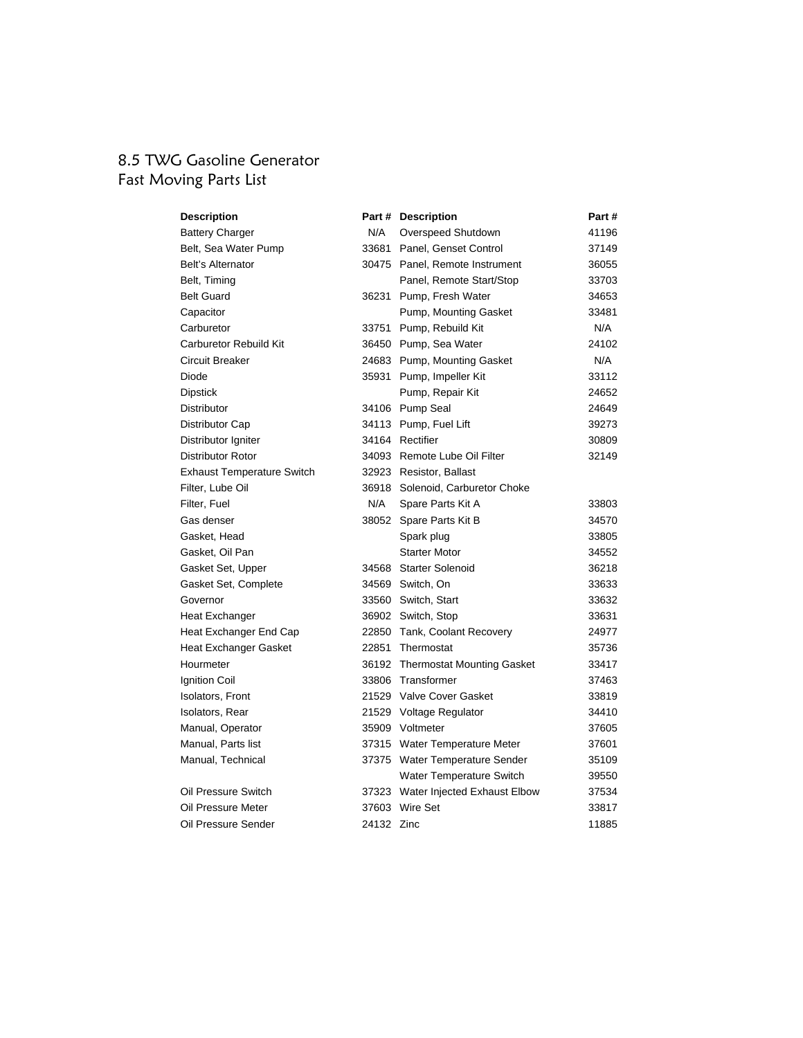#### 8.5 TWG Gasoline Generator Fast Moving Parts List

| <b>Description</b>                |            | Part # Description                 | Part # |
|-----------------------------------|------------|------------------------------------|--------|
| <b>Battery Charger</b>            | N/A        | Overspeed Shutdown                 | 41196  |
| Belt, Sea Water Pump              |            | 33681 Panel, Genset Control        | 37149  |
| Belt's Alternator                 |            | 30475 Panel, Remote Instrument     | 36055  |
| Belt, Timing                      |            | Panel, Remote Start/Stop           | 33703  |
| <b>Belt Guard</b>                 |            | 36231 Pump, Fresh Water            | 34653  |
| Capacitor                         |            | Pump, Mounting Gasket              | 33481  |
| Carburetor                        |            | 33751 Pump, Rebuild Kit            | N/A    |
| Carburetor Rebuild Kit            |            | 36450 Pump, Sea Water              | 24102  |
| Circuit Breaker                   |            | 24683 Pump, Mounting Gasket        | N/A    |
| Diode                             |            | 35931 Pump, Impeller Kit           | 33112  |
| <b>Dipstick</b>                   |            | Pump, Repair Kit                   | 24652  |
| <b>Distributor</b>                |            | 34106 Pump Seal                    | 24649  |
| Distributor Cap                   |            | 34113 Pump, Fuel Lift              | 39273  |
| Distributor Igniter               |            | 34164 Rectifier                    | 30809  |
| Distributor Rotor                 |            | 34093 Remote Lube Oil Filter       | 32149  |
| <b>Exhaust Temperature Switch</b> |            | 32923 Resistor, Ballast            |        |
| Filter, Lube Oil                  |            | 36918 Solenoid, Carburetor Choke   |        |
| Filter, Fuel                      | N/A        | Spare Parts Kit A                  | 33803  |
| Gas denser                        |            | 38052 Spare Parts Kit B            | 34570  |
| Gasket, Head                      |            | Spark plug                         | 33805  |
| Gasket, Oil Pan                   |            | <b>Starter Motor</b>               | 34552  |
| Gasket Set, Upper                 |            | 34568 Starter Solenoid             | 36218  |
| Gasket Set, Complete              |            | 34569 Switch, On                   | 33633  |
| Governor                          |            | 33560 Switch, Start                | 33632  |
| <b>Heat Exchanger</b>             |            | 36902 Switch, Stop                 | 33631  |
| Heat Exchanger End Cap            |            | 22850 Tank, Coolant Recovery       | 24977  |
| <b>Heat Exchanger Gasket</b>      | 22851      | Thermostat                         | 35736  |
| Hourmeter                         |            | 36192 Thermostat Mounting Gasket   | 33417  |
| Ignition Coil                     |            | 33806 Transformer                  | 37463  |
| <b>Isolators, Front</b>           |            | 21529 Valve Cover Gasket           | 33819  |
| Isolators, Rear                   |            | 21529 Voltage Regulator            | 34410  |
| Manual, Operator                  |            | 35909 Voltmeter                    | 37605  |
| Manual, Parts list                |            | 37315 Water Temperature Meter      | 37601  |
| Manual, Technical                 |            | 37375 Water Temperature Sender     | 35109  |
|                                   |            | Water Temperature Switch           | 39550  |
| Oil Pressure Switch               |            | 37323 Water Injected Exhaust Elbow | 37534  |
| Oil Pressure Meter                |            | 37603 Wire Set                     | 33817  |
| Oil Pressure Sender               | 24132 Zinc |                                    | 11885  |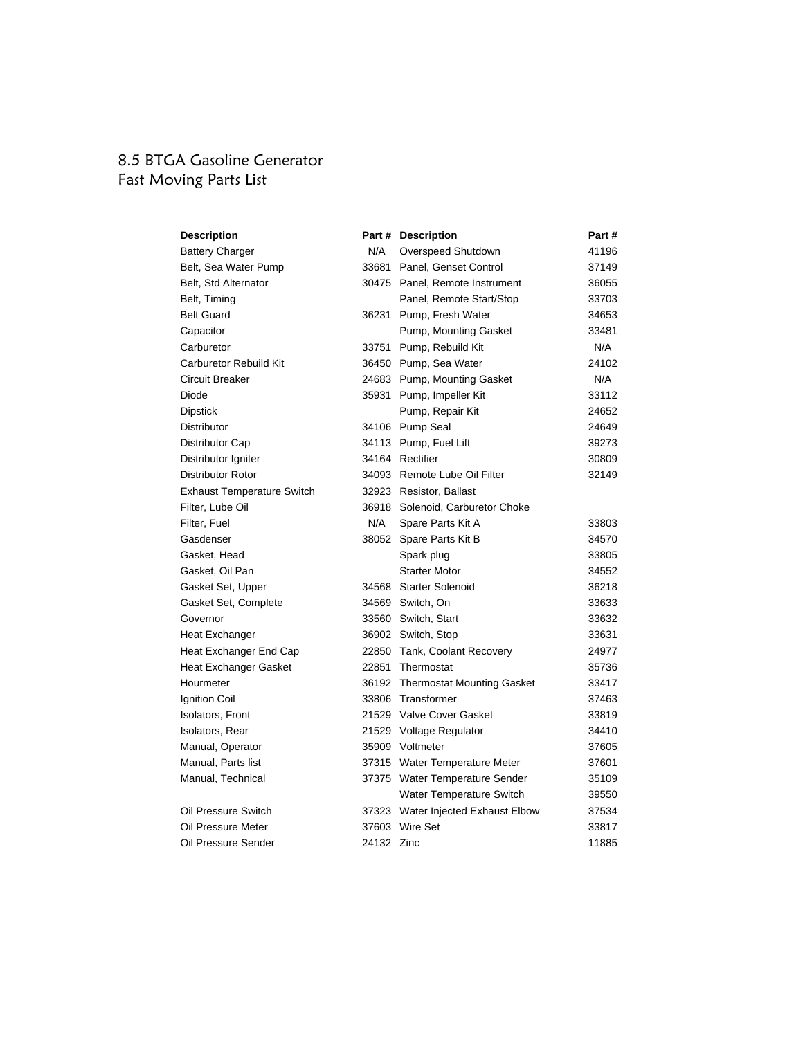#### 8.5 BTGA Gasoline Generator Fast Moving Parts List

| <b>Description</b>                |            | Part # Description                 | Part # |
|-----------------------------------|------------|------------------------------------|--------|
| <b>Battery Charger</b>            | N/A        | Overspeed Shutdown                 | 41196  |
| Belt, Sea Water Pump              |            | 33681 Panel, Genset Control        | 37149  |
| Belt, Std Alternator              |            | 30475 Panel, Remote Instrument     | 36055  |
| Belt, Timing                      |            | Panel, Remote Start/Stop           | 33703  |
| <b>Belt Guard</b>                 | 36231      | Pump, Fresh Water                  | 34653  |
| Capacitor                         |            | Pump, Mounting Gasket              | 33481  |
| Carburetor                        |            | 33751 Pump, Rebuild Kit            | N/A    |
| <b>Carburetor Rebuild Kit</b>     |            | 36450 Pump, Sea Water              | 24102  |
| Circuit Breaker                   |            | 24683 Pump, Mounting Gasket        | N/A    |
| Diode                             |            | 35931 Pump, Impeller Kit           | 33112  |
| <b>Dipstick</b>                   |            | Pump, Repair Kit                   | 24652  |
| Distributor                       |            | 34106 Pump Seal                    | 24649  |
| Distributor Cap                   |            | 34113 Pump, Fuel Lift              | 39273  |
| Distributor Igniter               |            | 34164 Rectifier                    | 30809  |
| Distributor Rotor                 |            | 34093 Remote Lube Oil Filter       | 32149  |
| <b>Exhaust Temperature Switch</b> |            | 32923 Resistor, Ballast            |        |
| Filter, Lube Oil                  |            | 36918 Solenoid, Carburetor Choke   |        |
| Filter, Fuel                      | N/A        | Spare Parts Kit A                  | 33803  |
| Gasdenser                         |            | 38052 Spare Parts Kit B            | 34570  |
| Gasket, Head                      |            | Spark plug                         | 33805  |
| Gasket, Oil Pan                   |            | <b>Starter Motor</b>               | 34552  |
| Gasket Set, Upper                 |            | 34568 Starter Solenoid             | 36218  |
| Gasket Set, Complete              |            | 34569 Switch, On                   | 33633  |
| Governor                          |            | 33560 Switch, Start                | 33632  |
| Heat Exchanger                    |            | 36902 Switch, Stop                 | 33631  |
| Heat Exchanger End Cap            |            | 22850 Tank, Coolant Recovery       | 24977  |
| Heat Exchanger Gasket             |            | 22851 Thermostat                   | 35736  |
| Hourmeter                         |            | 36192 Thermostat Mounting Gasket   | 33417  |
| <b>Ignition Coil</b>              |            | 33806 Transformer                  | 37463  |
| <b>Isolators, Front</b>           |            | 21529 Valve Cover Gasket           | 33819  |
| Isolators, Rear                   |            | 21529 Voltage Regulator            | 34410  |
| Manual, Operator                  |            | 35909 Voltmeter                    | 37605  |
| Manual, Parts list                |            | 37315 Water Temperature Meter      | 37601  |
| Manual, Technical                 |            | 37375 Water Temperature Sender     | 35109  |
|                                   |            | Water Temperature Switch           | 39550  |
| Oil Pressure Switch               |            | 37323 Water Injected Exhaust Elbow | 37534  |
| Oil Pressure Meter                |            | 37603 Wire Set                     | 33817  |
| Oil Pressure Sender               | 24132 Zinc |                                    | 11885  |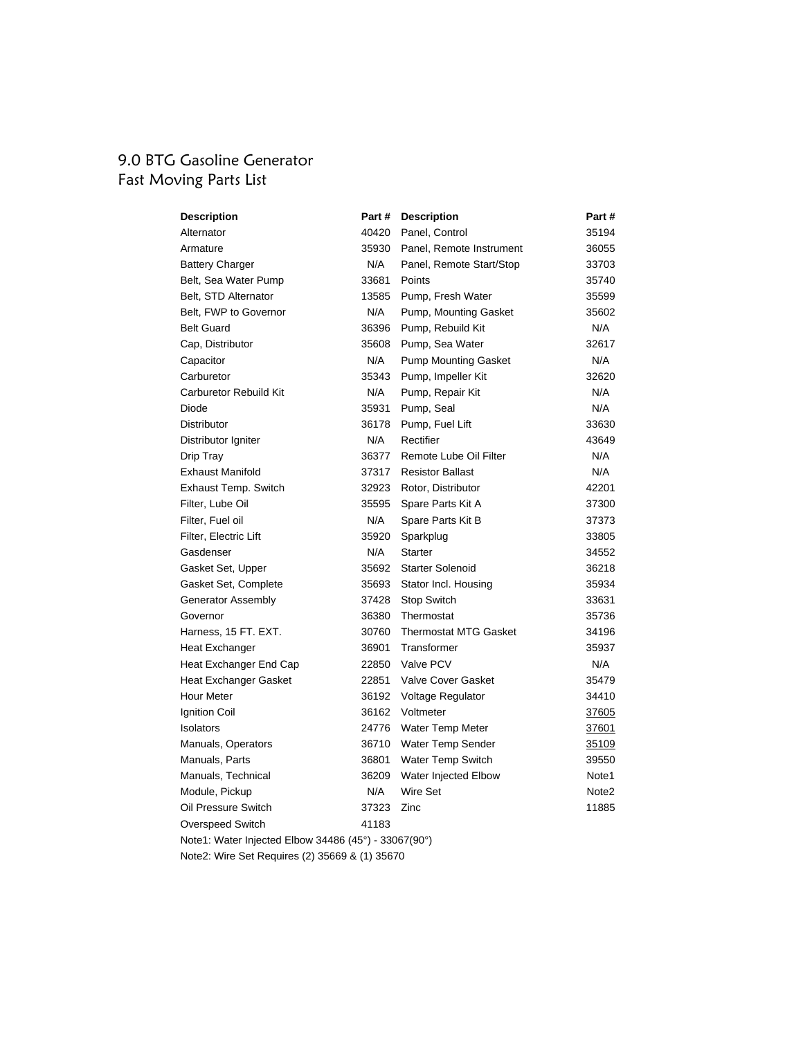#### 9.0 BTG Gasoline Generator Fast Moving Parts List

| <b>Description</b>                                   | Part # | <b>Description</b>           | Part #            |
|------------------------------------------------------|--------|------------------------------|-------------------|
| Alternator                                           | 40420  | Panel, Control               | 35194             |
| Armature                                             | 35930  | Panel, Remote Instrument     | 36055             |
| <b>Battery Charger</b>                               | N/A    | Panel, Remote Start/Stop     | 33703             |
| Belt, Sea Water Pump                                 | 33681  | Points                       | 35740             |
| Belt, STD Alternator                                 | 13585  | Pump, Fresh Water            | 35599             |
| Belt, FWP to Governor                                | N/A    | Pump, Mounting Gasket        | 35602             |
| <b>Belt Guard</b>                                    | 36396  | Pump, Rebuild Kit            | N/A               |
| Cap, Distributor                                     | 35608  | Pump, Sea Water              | 32617             |
| Capacitor                                            | N/A    | <b>Pump Mounting Gasket</b>  | N/A               |
| Carburetor                                           | 35343  | Pump, Impeller Kit           | 32620             |
| Carburetor Rebuild Kit                               | N/A    | Pump, Repair Kit             | N/A               |
| Diode                                                | 35931  | Pump, Seal                   | N/A               |
| Distributor                                          | 36178  | Pump, Fuel Lift              | 33630             |
| Distributor Igniter                                  | N/A    | Rectifier                    | 43649             |
| Drip Tray                                            | 36377  | Remote Lube Oil Filter       | N/A               |
| <b>Exhaust Manifold</b>                              | 37317  | <b>Resistor Ballast</b>      | N/A               |
| <b>Exhaust Temp. Switch</b>                          | 32923  | Rotor, Distributor           | 42201             |
| Filter, Lube Oil                                     | 35595  | Spare Parts Kit A            | 37300             |
| Filter, Fuel oil                                     | N/A    | Spare Parts Kit B            | 37373             |
| Filter, Electric Lift                                | 35920  | Sparkplug                    | 33805             |
| Gasdenser                                            | N/A    | <b>Starter</b>               | 34552             |
| Gasket Set, Upper                                    | 35692  | <b>Starter Solenoid</b>      | 36218             |
| Gasket Set, Complete                                 | 35693  | Stator Incl. Housing         | 35934             |
| Generator Assembly                                   | 37428  | <b>Stop Switch</b>           | 33631             |
| Governor                                             | 36380  | Thermostat                   | 35736             |
| Harness, 15 FT. EXT.                                 | 30760  | <b>Thermostat MTG Gasket</b> | 34196             |
| <b>Heat Exchanger</b>                                | 36901  | Transformer                  | 35937             |
| Heat Exchanger End Cap                               | 22850  | Valve PCV                    | N/A               |
| <b>Heat Exchanger Gasket</b>                         | 22851  | <b>Valve Cover Gasket</b>    | 35479             |
| Hour Meter                                           | 36192  | <b>Voltage Regulator</b>     | 34410             |
| Ignition Coil                                        | 36162  | Voltmeter                    | 37605             |
| Isolators                                            | 24776  | <b>Water Temp Meter</b>      | 37601             |
| Manuals, Operators                                   | 36710  | Water Temp Sender            | 35109             |
| Manuals, Parts                                       | 36801  | Water Temp Switch            | 39550             |
| Manuals, Technical                                   | 36209  | Water Injected Elbow         | Note1             |
| Module, Pickup                                       | N/A    | Wire Set                     | Note <sub>2</sub> |
| Oil Pressure Switch                                  | 37323  | Zinc                         | 11885             |
| Overspeed Switch                                     | 41183  |                              |                   |
| Note1: Water Injected Elbow 34486 (45°) - 33067(90°) |        |                              |                   |

Note2: Wire Set Requires (2) 35669 & (1) 35670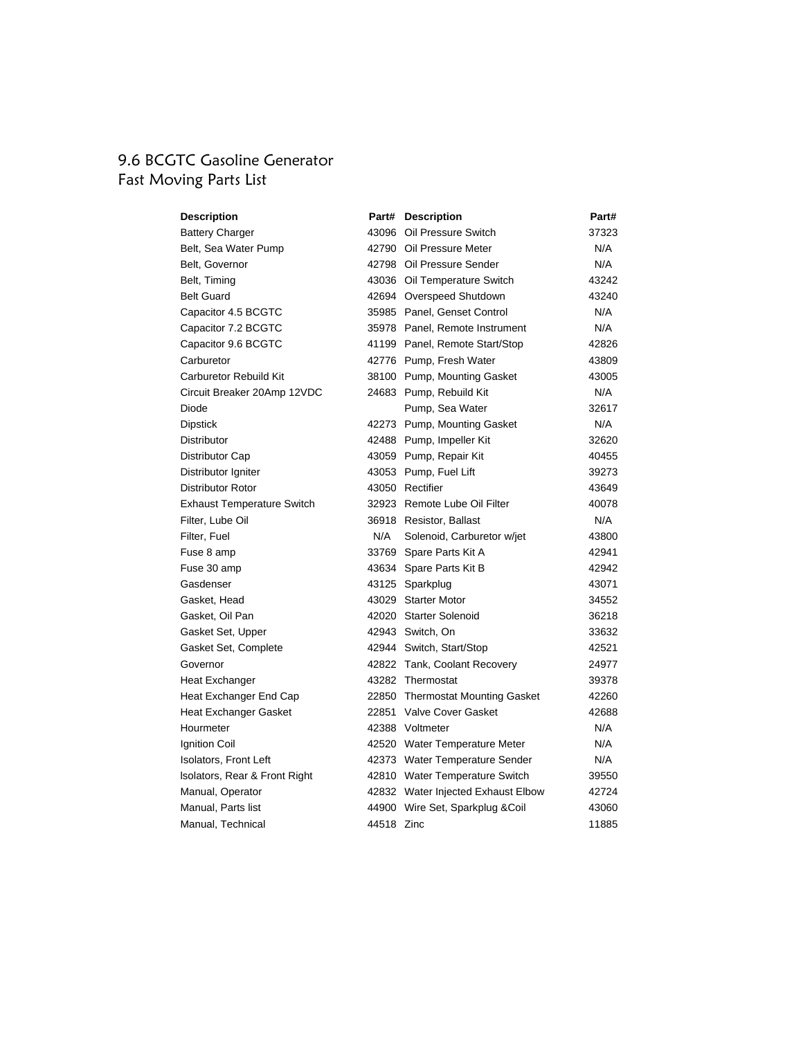# 9.6 BCGTC Gasoline Generator Fast Moving Parts List

| <b>Description</b>                | Part#      | <b>Description</b>                 | Part# |
|-----------------------------------|------------|------------------------------------|-------|
| <b>Battery Charger</b>            |            | 43096 Oil Pressure Switch          | 37323 |
| Belt, Sea Water Pump              |            | 42790 Oil Pressure Meter           | N/A   |
| Belt, Governor                    |            | 42798 Oil Pressure Sender          | N/A   |
| Belt, Timing                      |            | 43036 Oil Temperature Switch       | 43242 |
| <b>Belt Guard</b>                 |            | 42694 Overspeed Shutdown           | 43240 |
| Capacitor 4.5 BCGTC               |            | 35985 Panel, Genset Control        | N/A   |
| Capacitor 7.2 BCGTC               |            | 35978 Panel, Remote Instrument     | N/A   |
| Capacitor 9.6 BCGTC               |            | 41199 Panel, Remote Start/Stop     | 42826 |
| Carburetor                        |            | 42776 Pump, Fresh Water            | 43809 |
| Carburetor Rebuild Kit            |            | 38100 Pump, Mounting Gasket        | 43005 |
| Circuit Breaker 20Amp 12VDC       |            | 24683 Pump, Rebuild Kit            | N/A   |
| Diode                             |            | Pump, Sea Water                    | 32617 |
| <b>Dipstick</b>                   |            | 42273 Pump, Mounting Gasket        | N/A   |
| <b>Distributor</b>                |            | 42488 Pump, Impeller Kit           | 32620 |
| Distributor Cap                   |            | 43059 Pump, Repair Kit             | 40455 |
| Distributor Igniter               |            | 43053 Pump, Fuel Lift              | 39273 |
| Distributor Rotor                 |            | 43050 Rectifier                    | 43649 |
| <b>Exhaust Temperature Switch</b> |            | 32923 Remote Lube Oil Filter       | 40078 |
| Filter, Lube Oil                  |            | 36918 Resistor, Ballast            | N/A   |
| Filter, Fuel                      | N/A        | Solenoid, Carburetor w/jet         | 43800 |
| Fuse 8 amp                        |            | 33769 Spare Parts Kit A            | 42941 |
| Fuse 30 amp                       |            | 43634 Spare Parts Kit B            | 42942 |
| Gasdenser                         |            | 43125 Sparkplug                    | 43071 |
| Gasket, Head                      |            | 43029 Starter Motor                | 34552 |
| Gasket, Oil Pan                   |            | 42020 Starter Solenoid             | 36218 |
| Gasket Set, Upper                 |            | 42943 Switch, On                   | 33632 |
| Gasket Set, Complete              |            | 42944 Switch, Start/Stop           | 42521 |
| Governor                          |            | 42822 Tank, Coolant Recovery       | 24977 |
| Heat Exchanger                    |            | 43282 Thermostat                   | 39378 |
| Heat Exchanger End Cap            |            | 22850 Thermostat Mounting Gasket   | 42260 |
| <b>Heat Exchanger Gasket</b>      |            | 22851 Valve Cover Gasket           | 42688 |
| Hourmeter                         |            | 42388 Voltmeter                    | N/A   |
| Ignition Coil                     |            | 42520 Water Temperature Meter      | N/A   |
| <b>Isolators, Front Left</b>      |            | 42373 Water Temperature Sender     | N/A   |
| Isolators, Rear & Front Right     |            | 42810 Water Temperature Switch     | 39550 |
| Manual, Operator                  |            | 42832 Water Injected Exhaust Elbow | 42724 |
| Manual, Parts list                |            | 44900 Wire Set, Sparkplug & Coil   | 43060 |
| Manual, Technical                 | 44518 Zinc |                                    | 11885 |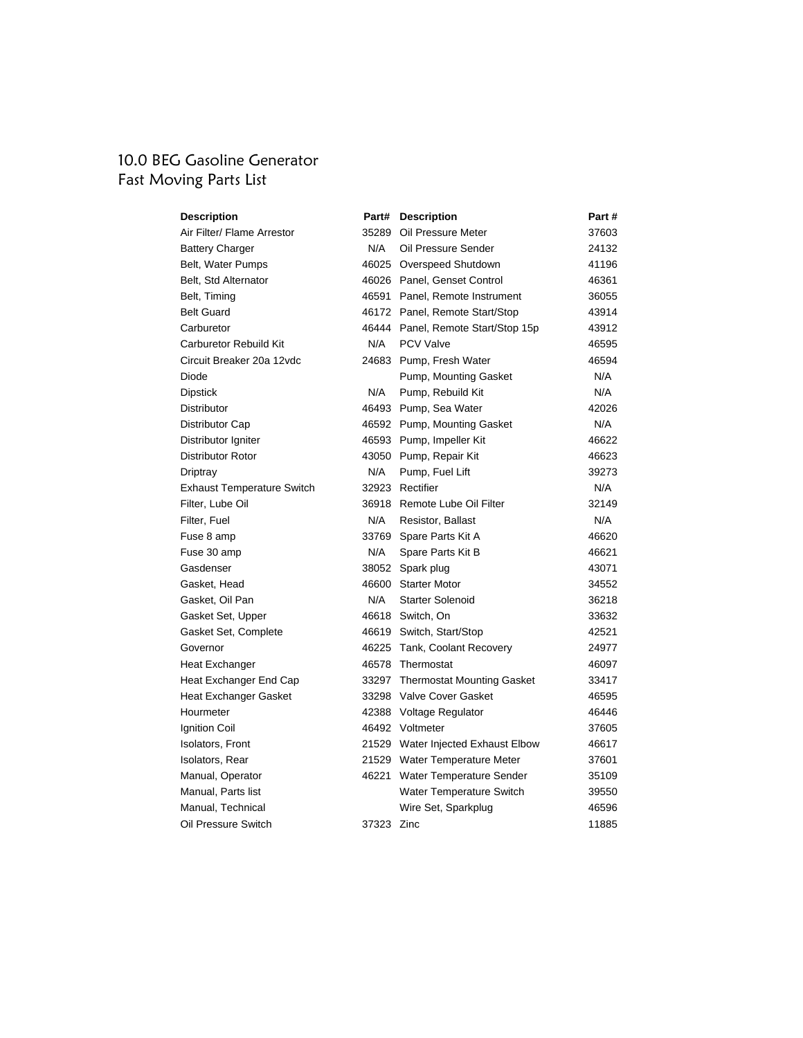#### 10.0 BEG Gasoline Generator Fast Moving Parts List

| <b>Description</b>                | Part# | <b>Description</b>                 | Part# |
|-----------------------------------|-------|------------------------------------|-------|
| Air Filter/ Flame Arrestor        |       | 35289 Oil Pressure Meter           | 37603 |
| <b>Battery Charger</b>            | N/A   | Oil Pressure Sender                | 24132 |
| Belt, Water Pumps                 |       | 46025 Overspeed Shutdown           | 41196 |
| Belt, Std Alternator              |       | 46026 Panel, Genset Control        | 46361 |
| Belt, Timing                      |       | 46591 Panel, Remote Instrument     | 36055 |
| <b>Belt Guard</b>                 |       | 46172 Panel, Remote Start/Stop     | 43914 |
| Carburetor                        |       | 46444 Panel, Remote Start/Stop 15p | 43912 |
| Carburetor Rebuild Kit            | N/A   | PCV Valve                          | 46595 |
| Circuit Breaker 20a 12vdc         |       | 24683 Pump, Fresh Water            | 46594 |
| Diode                             |       | Pump, Mounting Gasket              | N/A   |
| <b>Dipstick</b>                   | N/A   | Pump, Rebuild Kit                  | N/A   |
| <b>Distributor</b>                |       | 46493 Pump, Sea Water              | 42026 |
| Distributor Cap                   |       | 46592 Pump, Mounting Gasket        | N/A   |
| Distributor Igniter               |       | 46593 Pump, Impeller Kit           | 46622 |
| Distributor Rotor                 |       | 43050 Pump, Repair Kit             | 46623 |
| Driptray                          | N/A   | Pump, Fuel Lift                    | 39273 |
| <b>Exhaust Temperature Switch</b> |       | 32923 Rectifier                    | N/A   |
| Filter, Lube Oil                  |       | 36918 Remote Lube Oil Filter       | 32149 |
| Filter, Fuel                      | N/A   | Resistor, Ballast                  | N/A   |
| Fuse 8 amp                        | 33769 | Spare Parts Kit A                  | 46620 |
| Fuse 30 amp                       | N/A   | Spare Parts Kit B                  | 46621 |
| Gasdenser                         |       | 38052 Spark plug                   | 43071 |
| Gasket, Head                      |       | 46600 Starter Motor                | 34552 |
| Gasket, Oil Pan                   | N/A   | <b>Starter Solenoid</b>            | 36218 |
| Gasket Set, Upper                 |       | 46618 Switch, On                   | 33632 |
| Gasket Set, Complete              |       | 46619 Switch, Start/Stop           | 42521 |
| Governor                          |       | 46225 Tank, Coolant Recovery       | 24977 |
| <b>Heat Exchanger</b>             |       | 46578 Thermostat                   | 46097 |
| Heat Exchanger End Cap            |       | 33297 Thermostat Mounting Gasket   | 33417 |
| Heat Exchanger Gasket             |       | 33298 Valve Cover Gasket           | 46595 |
| Hourmeter                         |       | 42388 Voltage Regulator            | 46446 |
| Ignition Coil                     |       | 46492 Voltmeter                    | 37605 |
| <b>Isolators, Front</b>           |       | 21529 Water Injected Exhaust Elbow | 46617 |
| <b>Isolators, Rear</b>            |       | 21529 Water Temperature Meter      | 37601 |
| Manual, Operator                  | 46221 | Water Temperature Sender           | 35109 |
| Manual, Parts list                |       | Water Temperature Switch           | 39550 |
| Manual, Technical                 |       | Wire Set, Sparkplug                | 46596 |
| Oil Pressure Switch               | 37323 | Zinc                               | 11885 |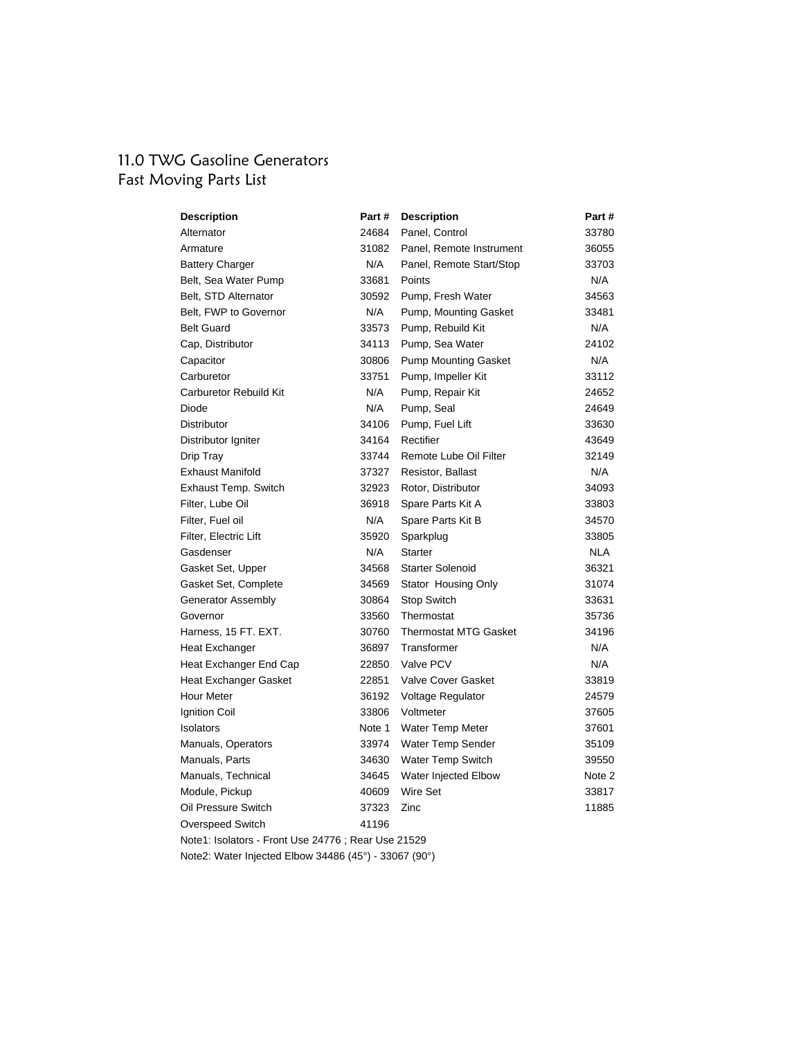#### 11.0 TWG Gasoline Generators Fast Moving Parts List

| <b>Description</b>                                 | Part # | <b>Description</b>           | Part#      |
|----------------------------------------------------|--------|------------------------------|------------|
| Alternator                                         | 24684  | Panel, Control               | 33780      |
| Armature                                           | 31082  | Panel, Remote Instrument     | 36055      |
| <b>Battery Charger</b>                             | N/A    | Panel, Remote Start/Stop     | 33703      |
| Belt, Sea Water Pump                               | 33681  | Points                       | N/A        |
| Belt, STD Alternator                               | 30592  | Pump, Fresh Water            | 34563      |
| Belt, FWP to Governor                              | N/A    | Pump, Mounting Gasket        | 33481      |
| <b>Belt Guard</b>                                  | 33573  | Pump, Rebuild Kit            | N/A        |
| Cap, Distributor                                   | 34113  | Pump, Sea Water              | 24102      |
| Capacitor                                          | 30806  | <b>Pump Mounting Gasket</b>  | N/A        |
| Carburetor                                         | 33751  | Pump, Impeller Kit           | 33112      |
| <b>Carburetor Rebuild Kit</b>                      | N/A    | Pump, Repair Kit             | 24652      |
| Diode                                              | N/A    | Pump, Seal                   | 24649      |
| <b>Distributor</b>                                 | 34106  | Pump, Fuel Lift              | 33630      |
| Distributor Igniter                                | 34164  | Rectifier                    | 43649      |
| Drip Tray                                          | 33744  | Remote Lube Oil Filter       | 32149      |
| <b>Exhaust Manifold</b>                            | 37327  | Resistor, Ballast            | N/A        |
| Exhaust Temp. Switch                               | 32923  | Rotor, Distributor           | 34093      |
| Filter, Lube Oil                                   | 36918  | Spare Parts Kit A            | 33803      |
| Filter, Fuel oil                                   | N/A    | Spare Parts Kit B            | 34570      |
| Filter, Electric Lift                              | 35920  | Sparkplug                    | 33805      |
| Gasdenser                                          | N/A    | <b>Starter</b>               | <b>NLA</b> |
| Gasket Set, Upper                                  | 34568  | <b>Starter Solenoid</b>      | 36321      |
| Gasket Set, Complete                               | 34569  | Stator Housing Only          | 31074      |
| <b>Generator Assembly</b>                          | 30864  | <b>Stop Switch</b>           | 33631      |
| Governor                                           | 33560  | Thermostat                   | 35736      |
| Harness, 15 FT. EXT.                               | 30760  | <b>Thermostat MTG Gasket</b> | 34196      |
| Heat Exchanger                                     | 36897  | Transformer                  | N/A        |
| Heat Exchanger End Cap                             | 22850  | Valve PCV                    | N/A        |
| <b>Heat Exchanger Gasket</b>                       | 22851  | Valve Cover Gasket           | 33819      |
| <b>Hour Meter</b>                                  | 36192  | <b>Voltage Regulator</b>     | 24579      |
| Ignition Coil                                      | 33806  | Voltmeter                    | 37605      |
| Isolators                                          | Note 1 | Water Temp Meter             | 37601      |
| Manuals, Operators                                 | 33974  | Water Temp Sender            | 35109      |
| Manuals, Parts                                     | 34630  | <b>Water Temp Switch</b>     | 39550      |
| Manuals, Technical                                 | 34645  | Water Injected Elbow         | Note 2     |
| Module, Pickup                                     | 40609  | Wire Set                     | 33817      |
| Oil Pressure Switch                                | 37323  | Zinc                         | 11885      |
| <b>Overspeed Switch</b>                            | 41196  |                              |            |
| Note1: Isolators - Front Use 24776; Rear Use 21529 |        |                              |            |

Note2: Water Injected Elbow 34486 (45°) - 33067 (90°)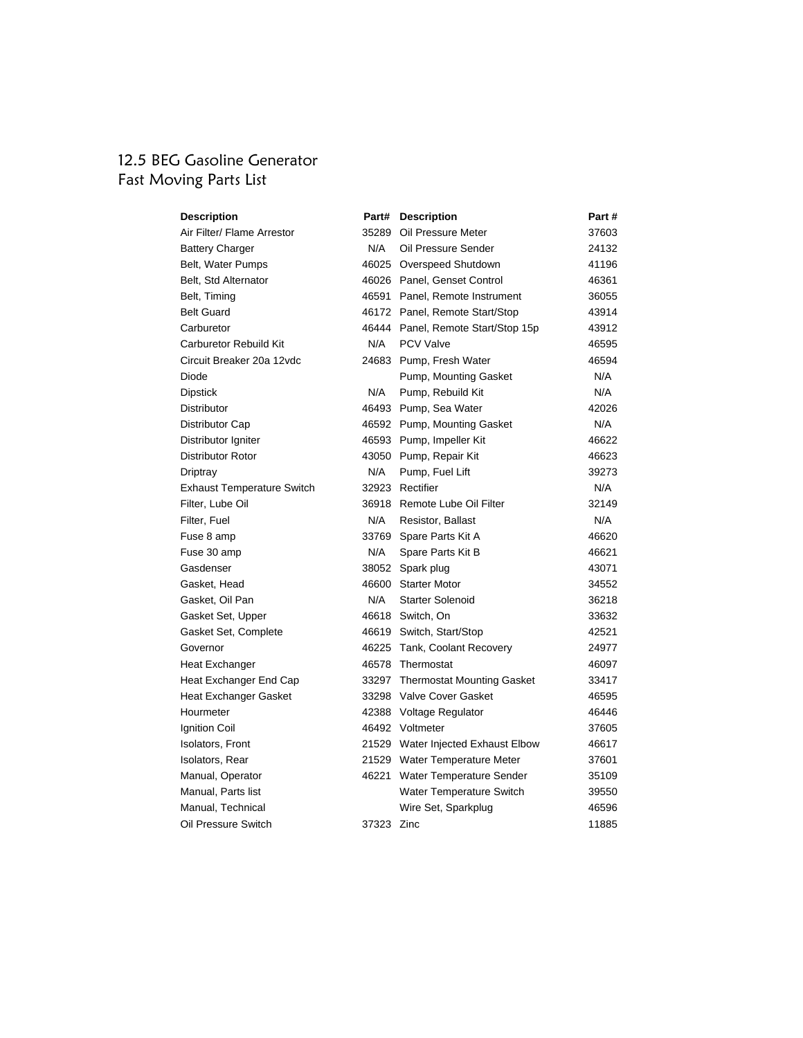#### 12.5 BEG Gasoline Generator Fast Moving Parts List

| <b>Description</b>                | Part# | <b>Description</b>                 | Part# |
|-----------------------------------|-------|------------------------------------|-------|
| Air Filter/ Flame Arrestor        |       | 35289 Oil Pressure Meter           | 37603 |
| <b>Battery Charger</b>            | N/A   | Oil Pressure Sender                | 24132 |
| Belt, Water Pumps                 |       | 46025 Overspeed Shutdown           | 41196 |
| Belt, Std Alternator              |       | 46026 Panel, Genset Control        | 46361 |
| Belt, Timing                      |       | 46591 Panel, Remote Instrument     | 36055 |
| <b>Belt Guard</b>                 |       | 46172 Panel, Remote Start/Stop     | 43914 |
| Carburetor                        |       | 46444 Panel, Remote Start/Stop 15p | 43912 |
| Carburetor Rebuild Kit            | N/A   | PCV Valve                          | 46595 |
| Circuit Breaker 20a 12vdc         |       | 24683 Pump, Fresh Water            | 46594 |
| Diode                             |       | Pump, Mounting Gasket              | N/A   |
| <b>Dipstick</b>                   | N/A   | Pump, Rebuild Kit                  | N/A   |
| <b>Distributor</b>                |       | 46493 Pump, Sea Water              | 42026 |
| Distributor Cap                   |       | 46592 Pump, Mounting Gasket        | N/A   |
| Distributor Igniter               |       | 46593 Pump, Impeller Kit           | 46622 |
| Distributor Rotor                 |       | 43050 Pump, Repair Kit             | 46623 |
| Driptray                          | N/A   | Pump, Fuel Lift                    | 39273 |
| <b>Exhaust Temperature Switch</b> |       | 32923 Rectifier                    | N/A   |
| Filter, Lube Oil                  |       | 36918 Remote Lube Oil Filter       | 32149 |
| Filter, Fuel                      | N/A   | Resistor, Ballast                  | N/A   |
| Fuse 8 amp                        | 33769 | Spare Parts Kit A                  | 46620 |
| Fuse 30 amp                       | N/A   | Spare Parts Kit B                  | 46621 |
| Gasdenser                         |       | 38052 Spark plug                   | 43071 |
| Gasket, Head                      |       | 46600 Starter Motor                | 34552 |
| Gasket, Oil Pan                   | N/A   | <b>Starter Solenoid</b>            | 36218 |
| Gasket Set, Upper                 |       | 46618 Switch, On                   | 33632 |
| Gasket Set, Complete              |       | 46619 Switch, Start/Stop           | 42521 |
| Governor                          |       | 46225 Tank, Coolant Recovery       | 24977 |
| <b>Heat Exchanger</b>             |       | 46578 Thermostat                   | 46097 |
| Heat Exchanger End Cap            |       | 33297 Thermostat Mounting Gasket   | 33417 |
| Heat Exchanger Gasket             |       | 33298 Valve Cover Gasket           | 46595 |
| Hourmeter                         |       | 42388 Voltage Regulator            | 46446 |
| Ignition Coil                     |       | 46492 Voltmeter                    | 37605 |
| <b>Isolators, Front</b>           |       | 21529 Water Injected Exhaust Elbow | 46617 |
| <b>Isolators, Rear</b>            |       | 21529 Water Temperature Meter      | 37601 |
| Manual, Operator                  | 46221 | Water Temperature Sender           | 35109 |
| Manual, Parts list                |       | Water Temperature Switch           | 39550 |
| Manual, Technical                 |       | Wire Set, Sparkplug                | 46596 |
| Oil Pressure Switch               | 37323 | Zinc                               | 11885 |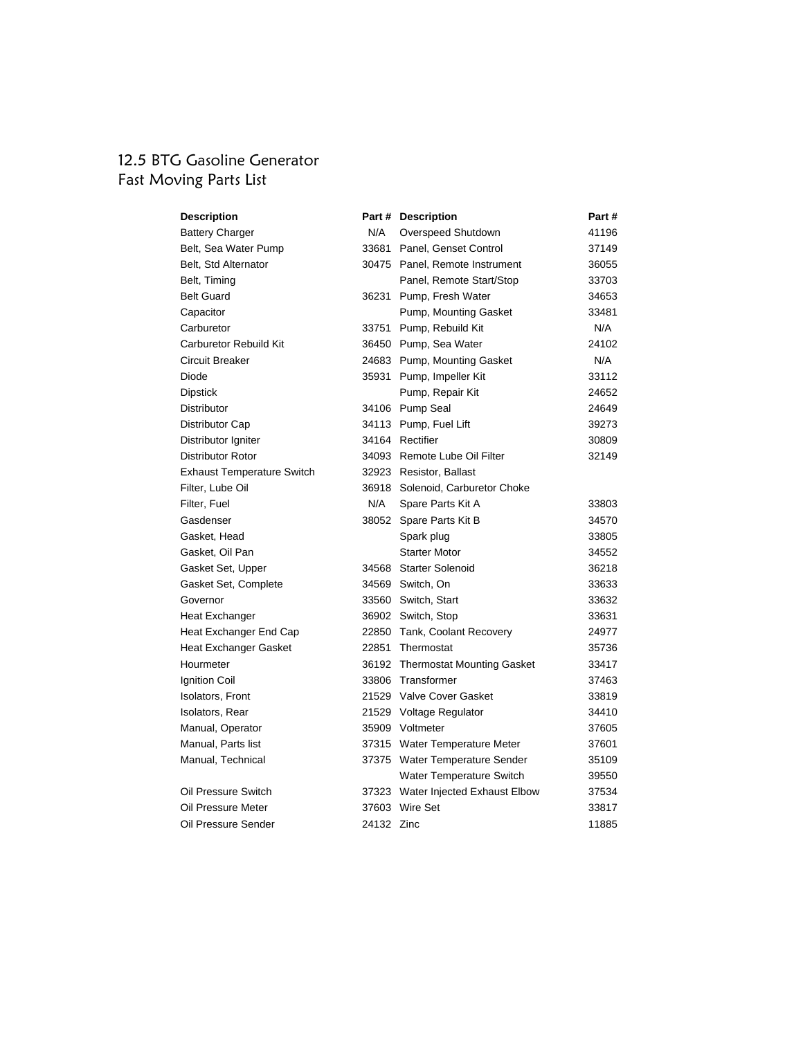#### 12.5 BTG Gasoline Generator Fast Moving Parts List

| <b>Description</b>                |            | Part # Description                 | Part # |
|-----------------------------------|------------|------------------------------------|--------|
| <b>Battery Charger</b>            | N/A        | Overspeed Shutdown                 | 41196  |
| Belt, Sea Water Pump              |            | 33681 Panel, Genset Control        | 37149  |
| Belt, Std Alternator              |            | 30475 Panel, Remote Instrument     | 36055  |
| Belt, Timing                      |            | Panel, Remote Start/Stop           | 33703  |
| <b>Belt Guard</b>                 |            | 36231 Pump, Fresh Water            | 34653  |
| Capacitor                         |            | Pump, Mounting Gasket              | 33481  |
| Carburetor                        |            | 33751 Pump, Rebuild Kit            | N/A    |
| Carburetor Rebuild Kit            |            | 36450 Pump, Sea Water              | 24102  |
| Circuit Breaker                   |            | 24683 Pump, Mounting Gasket        | N/A    |
| Diode                             |            | 35931 Pump, Impeller Kit           | 33112  |
| <b>Dipstick</b>                   |            | Pump, Repair Kit                   | 24652  |
| Distributor                       |            | 34106 Pump Seal                    | 24649  |
| Distributor Cap                   |            | 34113 Pump, Fuel Lift              | 39273  |
| Distributor Igniter               |            | 34164 Rectifier                    | 30809  |
| Distributor Rotor                 |            | 34093 Remote Lube Oil Filter       | 32149  |
| <b>Exhaust Temperature Switch</b> |            | 32923 Resistor, Ballast            |        |
| Filter, Lube Oil                  |            | 36918 Solenoid, Carburetor Choke   |        |
| Filter, Fuel                      | N/A        | Spare Parts Kit A                  | 33803  |
| Gasdenser                         |            | 38052 Spare Parts Kit B            | 34570  |
| Gasket, Head                      |            | Spark plug                         | 33805  |
| Gasket, Oil Pan                   |            | <b>Starter Motor</b>               | 34552  |
| Gasket Set, Upper                 |            | 34568 Starter Solenoid             | 36218  |
| Gasket Set, Complete              |            | 34569 Switch, On                   | 33633  |
| Governor                          |            | 33560 Switch, Start                | 33632  |
| Heat Exchanger                    |            | 36902 Switch, Stop                 | 33631  |
| Heat Exchanger End Cap            |            | 22850 Tank, Coolant Recovery       | 24977  |
| <b>Heat Exchanger Gasket</b>      |            | 22851 Thermostat                   | 35736  |
| Hourmeter                         |            | 36192 Thermostat Mounting Gasket   | 33417  |
| Ignition Coil                     |            | 33806 Transformer                  | 37463  |
| <b>Isolators, Front</b>           |            | 21529 Valve Cover Gasket           | 33819  |
| Isolators, Rear                   |            | 21529 Voltage Regulator            | 34410  |
| Manual, Operator                  |            | 35909 Voltmeter                    | 37605  |
| Manual, Parts list                |            | 37315 Water Temperature Meter      | 37601  |
| Manual, Technical                 |            | 37375 Water Temperature Sender     | 35109  |
|                                   |            | Water Temperature Switch           | 39550  |
| Oil Pressure Switch               |            | 37323 Water Injected Exhaust Elbow | 37534  |
| Oil Pressure Meter                |            | 37603 Wire Set                     | 33817  |
| Oil Pressure Sender               | 24132 Zinc |                                    | 11885  |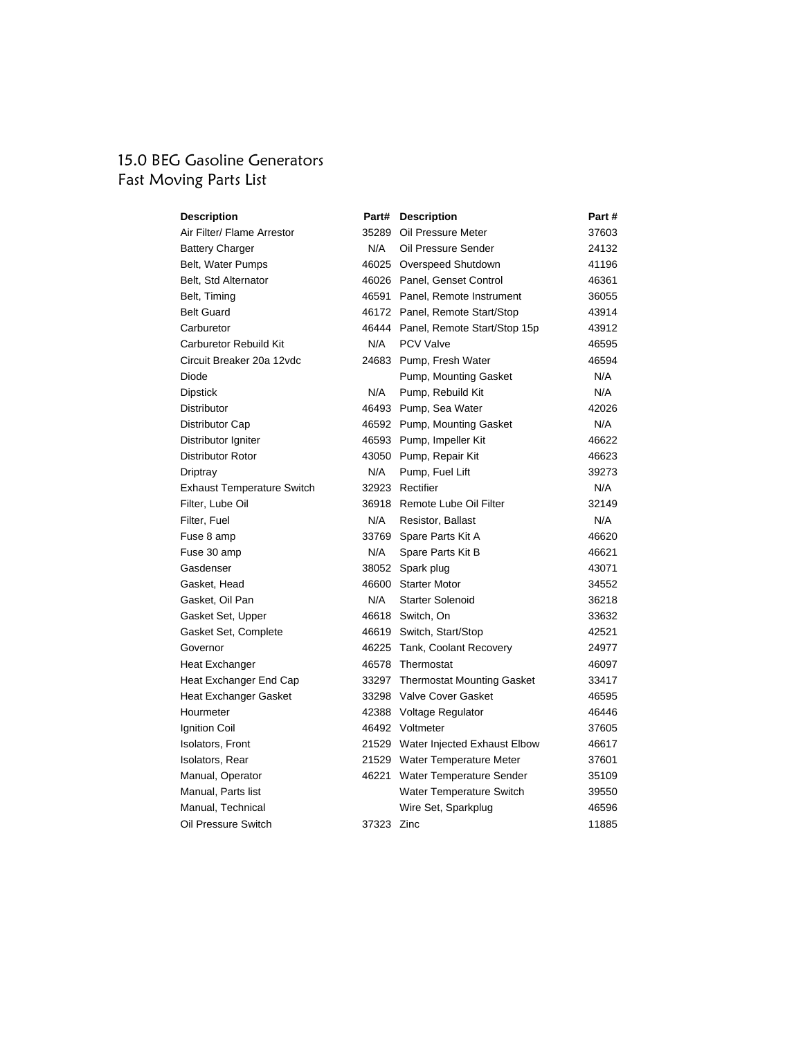#### 15.0 BEG Gasoline Generators Fast Moving Parts List

| <b>Description</b>                | Part# | <b>Description</b>                 | Part # |
|-----------------------------------|-------|------------------------------------|--------|
| Air Filter/ Flame Arrestor        | 35289 | Oil Pressure Meter                 | 37603  |
| <b>Battery Charger</b>            | N/A   | Oil Pressure Sender                | 24132  |
| Belt, Water Pumps                 |       | 46025 Overspeed Shutdown           | 41196  |
| Belt, Std Alternator              |       | 46026 Panel, Genset Control        | 46361  |
| Belt, Timing                      |       | 46591 Panel, Remote Instrument     | 36055  |
| <b>Belt Guard</b>                 |       | 46172 Panel, Remote Start/Stop     | 43914  |
| Carburetor                        |       | 46444 Panel, Remote Start/Stop 15p | 43912  |
| Carburetor Rebuild Kit            | N/A   | <b>PCV Valve</b>                   | 46595  |
| Circuit Breaker 20a 12vdc         |       | 24683 Pump, Fresh Water            | 46594  |
| Diode                             |       | Pump, Mounting Gasket              | N/A    |
| <b>Dipstick</b>                   | N/A   | Pump, Rebuild Kit                  | N/A    |
| <b>Distributor</b>                |       | 46493 Pump, Sea Water              | 42026  |
| Distributor Cap                   |       | 46592 Pump, Mounting Gasket        | N/A    |
| Distributor Igniter               |       | 46593 Pump, Impeller Kit           | 46622  |
| Distributor Rotor                 |       | 43050 Pump, Repair Kit             | 46623  |
| Driptray                          | N/A   | Pump, Fuel Lift                    | 39273  |
| <b>Exhaust Temperature Switch</b> | 32923 | Rectifier                          | N/A    |
| Filter, Lube Oil                  | 36918 | Remote Lube Oil Filter             | 32149  |
| Filter, Fuel                      | N/A   | Resistor, Ballast                  | N/A    |
| Fuse 8 amp                        | 33769 | Spare Parts Kit A                  | 46620  |
| Fuse 30 amp                       | N/A   | Spare Parts Kit B                  | 46621  |
| Gasdenser                         |       | 38052 Spark plug                   | 43071  |
| Gasket, Head                      |       | 46600 Starter Motor                | 34552  |
| Gasket, Oil Pan                   | N/A   | <b>Starter Solenoid</b>            | 36218  |
| Gasket Set, Upper                 |       | 46618 Switch, On                   | 33632  |
| Gasket Set, Complete              |       | 46619 Switch, Start/Stop           | 42521  |
| Governor                          |       | 46225 Tank, Coolant Recovery       | 24977  |
| Heat Exchanger                    |       | 46578 Thermostat                   | 46097  |
| Heat Exchanger End Cap            |       | 33297 Thermostat Mounting Gasket   | 33417  |
| Heat Exchanger Gasket             |       | 33298 Valve Cover Gasket           | 46595  |
| Hourmeter                         |       | 42388 Voltage Regulator            | 46446  |
| Ignition Coil                     |       | 46492 Voltmeter                    | 37605  |
| <b>Isolators, Front</b>           |       | 21529 Water Injected Exhaust Elbow | 46617  |
| <b>Isolators, Rear</b>            |       | 21529 Water Temperature Meter      | 37601  |
| Manual, Operator                  | 46221 | Water Temperature Sender           | 35109  |
| Manual, Parts list                |       | Water Temperature Switch           | 39550  |
| Manual, Technical                 |       | Wire Set, Sparkplug                | 46596  |
| Oil Pressure Switch               | 37323 | Zinc                               | 11885  |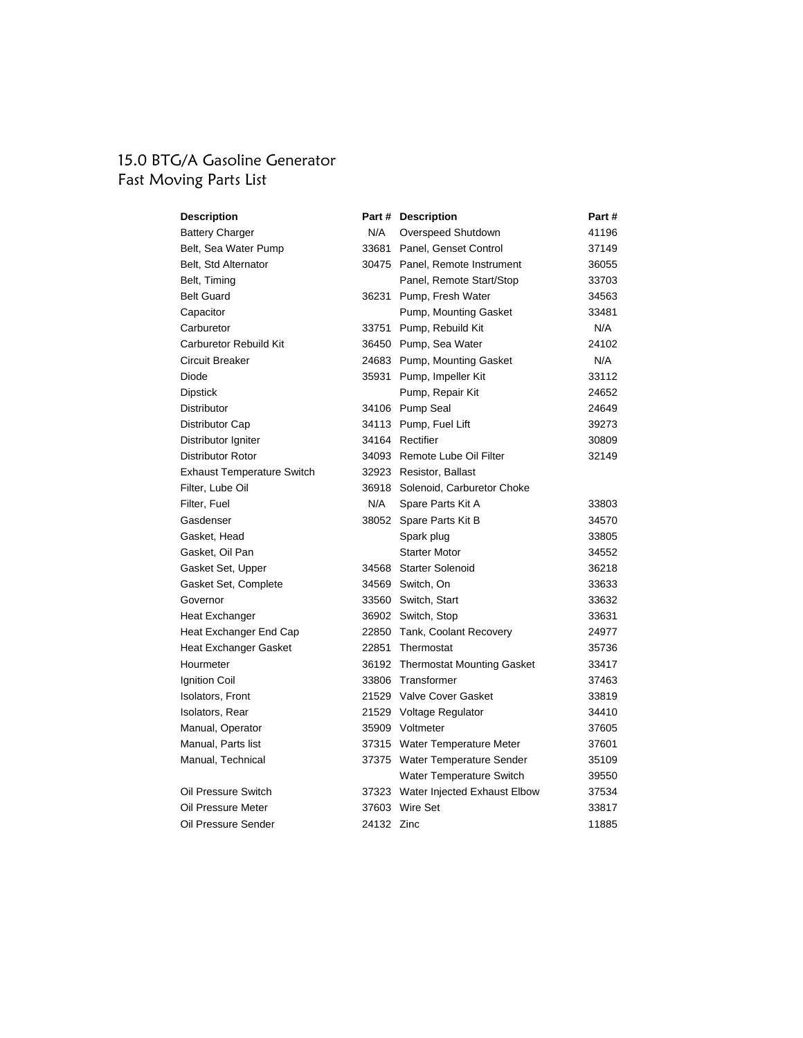## 15.0 BTG/A Gasoline Generator Fast Moving Parts List

| <b>Description</b>                |            | Part # Description                 | Part # |
|-----------------------------------|------------|------------------------------------|--------|
| <b>Battery Charger</b>            | N/A        | Overspeed Shutdown                 | 41196  |
| Belt, Sea Water Pump              |            | 33681 Panel, Genset Control        | 37149  |
| Belt, Std Alternator              |            | 30475 Panel, Remote Instrument     | 36055  |
| Belt, Timing                      |            | Panel, Remote Start/Stop           | 33703  |
| <b>Belt Guard</b>                 | 36231      | Pump, Fresh Water                  | 34563  |
| Capacitor                         |            | Pump, Mounting Gasket              | 33481  |
| Carburetor                        |            | 33751 Pump, Rebuild Kit            | N/A    |
| Carburetor Rebuild Kit            |            | 36450 Pump, Sea Water              | 24102  |
| Circuit Breaker                   |            | 24683 Pump, Mounting Gasket        | N/A    |
| Diode                             |            | 35931 Pump, Impeller Kit           | 33112  |
| <b>Dipstick</b>                   |            | Pump, Repair Kit                   | 24652  |
| <b>Distributor</b>                |            | 34106 Pump Seal                    | 24649  |
| Distributor Cap                   |            | 34113 Pump, Fuel Lift              | 39273  |
| Distributor Igniter               |            | 34164 Rectifier                    | 30809  |
| Distributor Rotor                 |            | 34093 Remote Lube Oil Filter       | 32149  |
| <b>Exhaust Temperature Switch</b> |            | 32923 Resistor, Ballast            |        |
| Filter, Lube Oil                  |            | 36918 Solenoid, Carburetor Choke   |        |
| Filter, Fuel                      | N/A        | Spare Parts Kit A                  | 33803  |
| Gasdenser                         |            | 38052 Spare Parts Kit B            | 34570  |
| Gasket, Head                      |            | Spark plug                         | 33805  |
| Gasket, Oil Pan                   |            | <b>Starter Motor</b>               | 34552  |
| Gasket Set, Upper                 |            | 34568 Starter Solenoid             | 36218  |
| Gasket Set, Complete              |            | 34569 Switch, On                   | 33633  |
| Governor                          |            | 33560 Switch, Start                | 33632  |
| Heat Exchanger                    |            | 36902 Switch, Stop                 | 33631  |
| Heat Exchanger End Cap            |            | 22850 Tank, Coolant Recovery       | 24977  |
| <b>Heat Exchanger Gasket</b>      |            | 22851 Thermostat                   | 35736  |
| Hourmeter                         |            | 36192 Thermostat Mounting Gasket   | 33417  |
| Ignition Coil                     |            | 33806 Transformer                  | 37463  |
| <b>Isolators, Front</b>           |            | 21529 Valve Cover Gasket           | 33819  |
| <b>Isolators, Rear</b>            |            | 21529 Voltage Regulator            | 34410  |
| Manual, Operator                  |            | 35909 Voltmeter                    | 37605  |
| Manual, Parts list                |            | 37315 Water Temperature Meter      | 37601  |
| Manual, Technical                 |            | 37375 Water Temperature Sender     | 35109  |
|                                   |            | Water Temperature Switch           | 39550  |
| Oil Pressure Switch               |            | 37323 Water Injected Exhaust Elbow | 37534  |
| Oil Pressure Meter                |            | 37603 Wire Set                     | 33817  |
| Oil Pressure Sender               | 24132 Zinc |                                    | 11885  |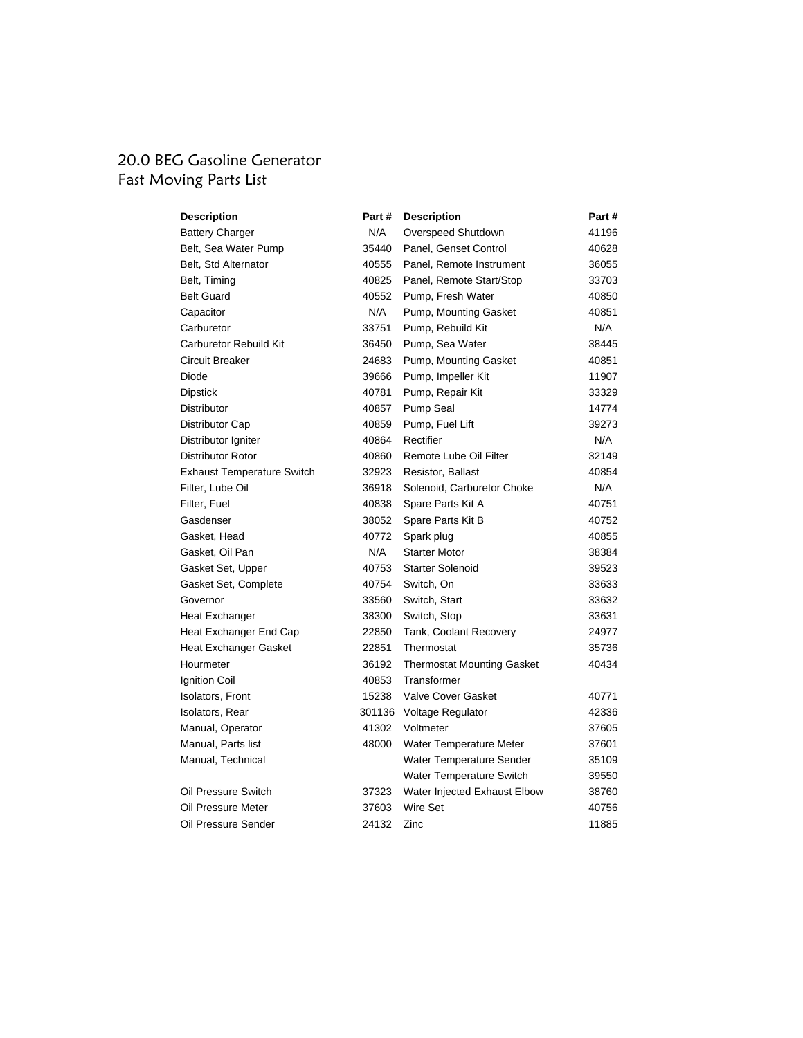#### 20.0 BEG Gasoline Generator Fast Moving Parts List

| <b>Description</b>                | Part#  | <b>Description</b>                | Part # |
|-----------------------------------|--------|-----------------------------------|--------|
| <b>Battery Charger</b>            | N/A    | Overspeed Shutdown                | 41196  |
| Belt, Sea Water Pump              | 35440  | Panel, Genset Control             | 40628  |
| Belt, Std Alternator              | 40555  | Panel, Remote Instrument          | 36055  |
| Belt, Timing                      | 40825  | Panel, Remote Start/Stop          | 33703  |
| <b>Belt Guard</b>                 | 40552  | Pump, Fresh Water                 | 40850  |
| Capacitor                         | N/A    | Pump, Mounting Gasket             | 40851  |
| Carburetor                        | 33751  | Pump, Rebuild Kit                 | N/A    |
| <b>Carburetor Rebuild Kit</b>     | 36450  | Pump, Sea Water                   | 38445  |
| <b>Circuit Breaker</b>            | 24683  | Pump, Mounting Gasket             | 40851  |
| Diode                             | 39666  | Pump, Impeller Kit                | 11907  |
| <b>Dipstick</b>                   | 40781  | Pump, Repair Kit                  | 33329  |
| <b>Distributor</b>                | 40857  | <b>Pump Seal</b>                  | 14774  |
| Distributor Cap                   | 40859  | Pump, Fuel Lift                   | 39273  |
| Distributor Igniter               | 40864  | Rectifier                         | N/A    |
| <b>Distributor Rotor</b>          | 40860  | Remote Lube Oil Filter            | 32149  |
| <b>Exhaust Temperature Switch</b> | 32923  | Resistor, Ballast                 | 40854  |
| Filter, Lube Oil                  | 36918  | Solenoid, Carburetor Choke        | N/A    |
| Filter, Fuel                      | 40838  | Spare Parts Kit A                 | 40751  |
| Gasdenser                         | 38052  | Spare Parts Kit B                 | 40752  |
| Gasket, Head                      | 40772  | Spark plug                        | 40855  |
| Gasket, Oil Pan                   | N/A    | <b>Starter Motor</b>              | 38384  |
| Gasket Set, Upper                 | 40753  | <b>Starter Solenoid</b>           | 39523  |
| Gasket Set, Complete              | 40754  | Switch, On                        | 33633  |
| Governor                          | 33560  | Switch, Start                     | 33632  |
| <b>Heat Exchanger</b>             | 38300  | Switch, Stop                      | 33631  |
| Heat Exchanger End Cap            | 22850  | Tank, Coolant Recovery            | 24977  |
| <b>Heat Exchanger Gasket</b>      | 22851  | Thermostat                        | 35736  |
| Hourmeter                         | 36192  | <b>Thermostat Mounting Gasket</b> | 40434  |
| <b>Ignition Coil</b>              | 40853  | Transformer                       |        |
| <b>Isolators, Front</b>           | 15238  | Valve Cover Gasket                | 40771  |
| Isolators, Rear                   | 301136 | Voltage Regulator                 | 42336  |
| Manual, Operator                  | 41302  | Voltmeter                         | 37605  |
| Manual, Parts list                | 48000  | Water Temperature Meter           | 37601  |
| Manual, Technical                 |        | Water Temperature Sender          | 35109  |
|                                   |        | Water Temperature Switch          | 39550  |
| Oil Pressure Switch               | 37323  | Water Injected Exhaust Elbow      | 38760  |
| Oil Pressure Meter                | 37603  | Wire Set                          | 40756  |
| Oil Pressure Sender               | 24132  | Zinc                              | 11885  |